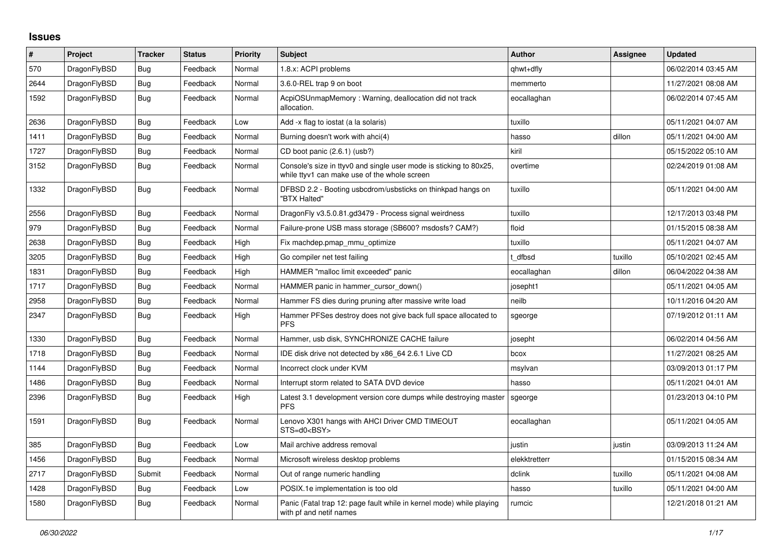## **Issues**

| #    | Project      | <b>Tracker</b> | <b>Status</b> | Priority | <b>Subject</b>                                                                                                     | <b>Author</b> | Assignee | <b>Updated</b>      |
|------|--------------|----------------|---------------|----------|--------------------------------------------------------------------------------------------------------------------|---------------|----------|---------------------|
| 570  | DragonFlyBSD | <b>Bug</b>     | Feedback      | Normal   | 1.8.x: ACPI problems                                                                                               | qhwt+dfly     |          | 06/02/2014 03:45 AM |
| 2644 | DragonFlyBSD | <b>Bug</b>     | Feedback      | Normal   | 3.6.0-REL trap 9 on boot                                                                                           | memmerto      |          | 11/27/2021 08:08 AM |
| 1592 | DragonFlyBSD | <b>Bug</b>     | Feedback      | Normal   | AcpiOSUnmapMemory: Warning, deallocation did not track<br>allocation.                                              | eocallaghan   |          | 06/02/2014 07:45 AM |
| 2636 | DragonFlyBSD | Bug            | Feedback      | Low      | Add -x flag to iostat (a la solaris)                                                                               | tuxillo       |          | 05/11/2021 04:07 AM |
| 1411 | DragonFlyBSD | Bug            | Feedback      | Normal   | Burning doesn't work with ahci(4)                                                                                  | hasso         | dillon   | 05/11/2021 04:00 AM |
| 1727 | DragonFlyBSD | Bug            | Feedback      | Normal   | CD boot panic (2.6.1) (usb?)                                                                                       | kiril         |          | 05/15/2022 05:10 AM |
| 3152 | DragonFlyBSD | Bug            | Feedback      | Normal   | Console's size in ttyv0 and single user mode is sticking to 80x25,<br>while ttyv1 can make use of the whole screen | overtime      |          | 02/24/2019 01:08 AM |
| 1332 | DragonFlyBSD | Bug            | Feedback      | Normal   | DFBSD 2.2 - Booting usbcdrom/usbsticks on thinkpad hangs on<br>"BTX Halted"                                        | tuxillo       |          | 05/11/2021 04:00 AM |
| 2556 | DragonFlyBSD | <b>Bug</b>     | Feedback      | Normal   | DragonFly v3.5.0.81.gd3479 - Process signal weirdness                                                              | tuxillo       |          | 12/17/2013 03:48 PM |
| 979  | DragonFlyBSD | Bug            | Feedback      | Normal   | Failure-prone USB mass storage (SB600? msdosfs? CAM?)                                                              | floid         |          | 01/15/2015 08:38 AM |
| 2638 | DragonFlyBSD | Bug            | Feedback      | High     | Fix machdep.pmap mmu optimize                                                                                      | tuxillo       |          | 05/11/2021 04:07 AM |
| 3205 | DragonFlyBSD | <b>Bug</b>     | Feedback      | High     | Go compiler net test failing                                                                                       | t dfbsd       | tuxillo  | 05/10/2021 02:45 AM |
| 1831 | DragonFlyBSD | Bug            | Feedback      | High     | HAMMER "malloc limit exceeded" panic                                                                               | eocallaghan   | dillon   | 06/04/2022 04:38 AM |
| 1717 | DragonFlyBSD | Bug            | Feedback      | Normal   | HAMMER panic in hammer_cursor_down()                                                                               | josepht1      |          | 05/11/2021 04:05 AM |
| 2958 | DragonFlyBSD | Bug            | Feedback      | Normal   | Hammer FS dies during pruning after massive write load                                                             | neilb         |          | 10/11/2016 04:20 AM |
| 2347 | DragonFlyBSD | <b>Bug</b>     | Feedback      | High     | Hammer PFSes destroy does not give back full space allocated to<br><b>PFS</b>                                      | sgeorge       |          | 07/19/2012 01:11 AM |
| 1330 | DragonFlyBSD | Bug            | Feedback      | Normal   | Hammer, usb disk, SYNCHRONIZE CACHE failure                                                                        | josepht       |          | 06/02/2014 04:56 AM |
| 1718 | DragonFlyBSD | <b>Bug</b>     | Feedback      | Normal   | IDE disk drive not detected by x86_64 2.6.1 Live CD                                                                | bcox          |          | 11/27/2021 08:25 AM |
| 1144 | DragonFlyBSD | Bug            | Feedback      | Normal   | Incorrect clock under KVM                                                                                          | msylvan       |          | 03/09/2013 01:17 PM |
| 1486 | DragonFlyBSD | <b>Bug</b>     | Feedback      | Normal   | Interrupt storm related to SATA DVD device                                                                         | hasso         |          | 05/11/2021 04:01 AM |
| 2396 | DragonFlyBSD | <b>Bug</b>     | Feedback      | High     | Latest 3.1 development version core dumps while destroying master<br><b>PFS</b>                                    | sgeorge       |          | 01/23/2013 04:10 PM |
| 1591 | DragonFlyBSD | Bug            | Feedback      | Normal   | Lenovo X301 hangs with AHCI Driver CMD TIMEOUT<br>STS=d0 <bsy></bsy>                                               | eocallaghan   |          | 05/11/2021 04:05 AM |
| 385  | DragonFlyBSD | <b>Bug</b>     | Feedback      | Low      | Mail archive address removal                                                                                       | justin        | justin   | 03/09/2013 11:24 AM |
| 1456 | DragonFlyBSD | Bug            | Feedback      | Normal   | Microsoft wireless desktop problems                                                                                | elekktretterr |          | 01/15/2015 08:34 AM |
| 2717 | DragonFlyBSD | Submit         | Feedback      | Normal   | Out of range numeric handling                                                                                      | dclink        | tuxillo  | 05/11/2021 04:08 AM |
| 1428 | DragonFlyBSD | <b>Bug</b>     | Feedback      | Low      | POSIX.1e implementation is too old                                                                                 | hasso         | tuxillo  | 05/11/2021 04:00 AM |
| 1580 | DragonFlyBSD | Bug            | Feedback      | Normal   | Panic (Fatal trap 12: page fault while in kernel mode) while playing<br>with pf and netif names                    | rumcic        |          | 12/21/2018 01:21 AM |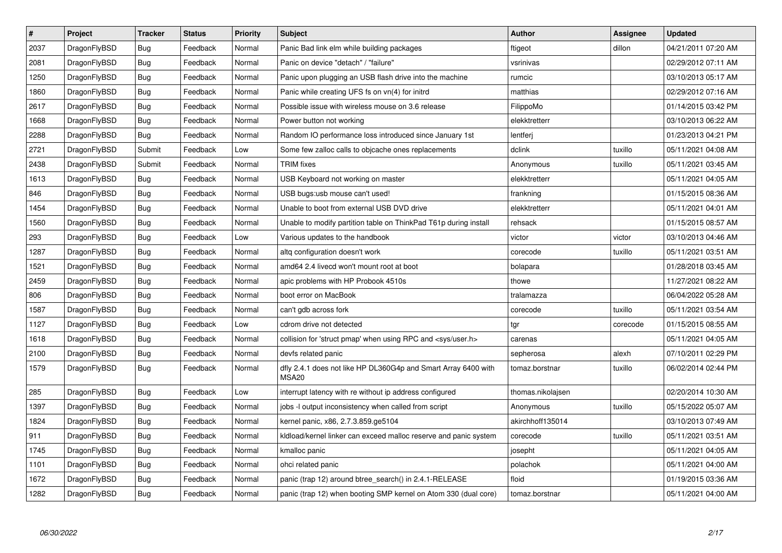| $\vert$ # | Project      | <b>Tracker</b> | <b>Status</b> | <b>Priority</b> | <b>Subject</b>                                                          | Author            | Assignee | <b>Updated</b>      |
|-----------|--------------|----------------|---------------|-----------------|-------------------------------------------------------------------------|-------------------|----------|---------------------|
| 2037      | DragonFlyBSD | <b>Bug</b>     | Feedback      | Normal          | Panic Bad link elm while building packages                              | ftigeot           | dillon   | 04/21/2011 07:20 AM |
| 2081      | DragonFlyBSD | <b>Bug</b>     | Feedback      | Normal          | Panic on device "detach" / "failure"                                    | vsrinivas         |          | 02/29/2012 07:11 AM |
| 1250      | DragonFlyBSD | Bug            | Feedback      | Normal          | Panic upon plugging an USB flash drive into the machine                 | rumcic            |          | 03/10/2013 05:17 AM |
| 1860      | DragonFlyBSD | Bug            | Feedback      | Normal          | Panic while creating UFS fs on vn(4) for initrd                         | matthias          |          | 02/29/2012 07:16 AM |
| 2617      | DragonFlyBSD | <b>Bug</b>     | Feedback      | Normal          | Possible issue with wireless mouse on 3.6 release                       | FilippoMo         |          | 01/14/2015 03:42 PM |
| 1668      | DragonFlyBSD | Bug            | Feedback      | Normal          | Power button not working                                                | elekktretterr     |          | 03/10/2013 06:22 AM |
| 2288      | DragonFlyBSD | Bug            | Feedback      | Normal          | Random IO performance loss introduced since January 1st                 | lentferj          |          | 01/23/2013 04:21 PM |
| 2721      | DragonFlyBSD | Submit         | Feedback      | Low             | Some few zalloc calls to objcache ones replacements                     | dclink            | tuxillo  | 05/11/2021 04:08 AM |
| 2438      | DragonFlyBSD | Submit         | Feedback      | Normal          | <b>TRIM</b> fixes                                                       | Anonymous         | tuxillo  | 05/11/2021 03:45 AM |
| 1613      | DragonFlyBSD | Bug            | Feedback      | Normal          | USB Keyboard not working on master                                      | elekktretterr     |          | 05/11/2021 04:05 AM |
| 846       | DragonFlyBSD | <b>Bug</b>     | Feedback      | Normal          | USB bugs:usb mouse can't used!                                          | frankning         |          | 01/15/2015 08:36 AM |
| 1454      | DragonFlyBSD | <b>Bug</b>     | Feedback      | Normal          | Unable to boot from external USB DVD drive                              | elekktretterr     |          | 05/11/2021 04:01 AM |
| 1560      | DragonFlyBSD | <b>Bug</b>     | Feedback      | Normal          | Unable to modify partition table on ThinkPad T61p during install        | rehsack           |          | 01/15/2015 08:57 AM |
| 293       | DragonFlyBSD | Bug            | Feedback      | Low             | Various updates to the handbook                                         | victor            | victor   | 03/10/2013 04:46 AM |
| 1287      | DragonFlyBSD | <b>Bug</b>     | Feedback      | Normal          | altq configuration doesn't work                                         | corecode          | tuxillo  | 05/11/2021 03:51 AM |
| 1521      | DragonFlyBSD | Bug            | Feedback      | Normal          | amd64 2.4 livecd won't mount root at boot                               | bolapara          |          | 01/28/2018 03:45 AM |
| 2459      | DragonFlyBSD | <b>Bug</b>     | Feedback      | Normal          | apic problems with HP Probook 4510s                                     | thowe             |          | 11/27/2021 08:22 AM |
| 806       | DragonFlyBSD | <b>Bug</b>     | Feedback      | Normal          | boot error on MacBook                                                   | tralamazza        |          | 06/04/2022 05:28 AM |
| 1587      | DragonFlyBSD | <b>Bug</b>     | Feedback      | Normal          | can't gdb across fork                                                   | corecode          | tuxillo  | 05/11/2021 03:54 AM |
| 1127      | DragonFlyBSD | <b>Bug</b>     | Feedback      | Low             | cdrom drive not detected                                                | tgr               | corecode | 01/15/2015 08:55 AM |
| 1618      | DragonFlyBSD | <b>Bug</b>     | Feedback      | Normal          | collision for 'struct pmap' when using RPC and <sys user.h=""></sys>    | carenas           |          | 05/11/2021 04:05 AM |
| 2100      | DragonFlyBSD | <b>Bug</b>     | Feedback      | Normal          | devfs related panic                                                     | sepherosa         | alexh    | 07/10/2011 02:29 PM |
| 1579      | DragonFlyBSD | Bug            | Feedback      | Normal          | dfly 2.4.1 does not like HP DL360G4p and Smart Array 6400 with<br>MSA20 | tomaz.borstnar    | tuxillo  | 06/02/2014 02:44 PM |
| 285       | DragonFlyBSD | Bug            | Feedback      | Low             | interrupt latency with re without ip address configured                 | thomas.nikolajsen |          | 02/20/2014 10:30 AM |
| 1397      | DragonFlyBSD | <b>Bug</b>     | Feedback      | Normal          | jobs -I output inconsistency when called from script                    | Anonymous         | tuxillo  | 05/15/2022 05:07 AM |
| 1824      | DragonFlyBSD | <b>Bug</b>     | Feedback      | Normal          | kernel panic, x86, 2.7.3.859.ge5104                                     | akirchhoff135014  |          | 03/10/2013 07:49 AM |
| 911       | DragonFlyBSD | Bug            | Feedback      | Normal          | kidload/kernel linker can exceed malloc reserve and panic system        | corecode          | tuxillo  | 05/11/2021 03:51 AM |
| 1745      | DragonFlyBSD | <b>Bug</b>     | Feedback      | Normal          | kmalloc panic                                                           | josepht           |          | 05/11/2021 04:05 AM |
| 1101      | DragonFlyBSD | <b>Bug</b>     | Feedback      | Normal          | ohci related panic                                                      | polachok          |          | 05/11/2021 04:00 AM |
| 1672      | DragonFlyBSD | Bug            | Feedback      | Normal          | panic (trap 12) around btree_search() in 2.4.1-RELEASE                  | floid             |          | 01/19/2015 03:36 AM |
| 1282      | DragonFlyBSD | Bug            | Feedback      | Normal          | panic (trap 12) when booting SMP kernel on Atom 330 (dual core)         | tomaz.borstnar    |          | 05/11/2021 04:00 AM |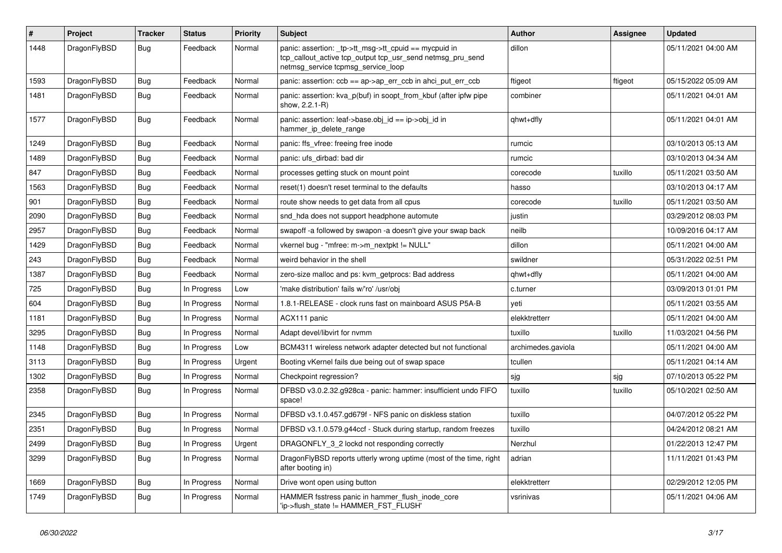| #    | Project      | <b>Tracker</b> | <b>Status</b> | <b>Priority</b> | <b>Subject</b>                                                                                                                                            | <b>Author</b>      | <b>Assignee</b> | <b>Updated</b>      |
|------|--------------|----------------|---------------|-----------------|-----------------------------------------------------------------------------------------------------------------------------------------------------------|--------------------|-----------------|---------------------|
| 1448 | DragonFlyBSD | Bug            | Feedback      | Normal          | panic: assertion: _tp->tt_msg->tt_cpuid == mycpuid in<br>tcp_callout_active tcp_output tcp_usr_send netmsg_pru_send<br>netmsg_service tcpmsg_service_loop | dillon             |                 | 05/11/2021 04:00 AM |
| 1593 | DragonFlyBSD | <b>Bug</b>     | Feedback      | Normal          | panic: assertion: ccb == ap->ap_err_ccb in ahci_put_err_ccb                                                                                               | ftigeot            | ftigeot         | 05/15/2022 05:09 AM |
| 1481 | DragonFlyBSD | <b>Bug</b>     | Feedback      | Normal          | panic: assertion: kva_p(buf) in soopt_from_kbuf (after ipfw pipe<br>show, 2.2.1-R)                                                                        | combiner           |                 | 05/11/2021 04:01 AM |
| 1577 | DragonFlyBSD | Bug            | Feedback      | Normal          | panic: assertion: leaf->base.obj_id == ip->obj_id in<br>hammer_ip_delete_range                                                                            | qhwt+dfly          |                 | 05/11/2021 04:01 AM |
| 1249 | DragonFlyBSD | Bug            | Feedback      | Normal          | panic: ffs_vfree: freeing free inode                                                                                                                      | rumcic             |                 | 03/10/2013 05:13 AM |
| 1489 | DragonFlyBSD | Bug            | Feedback      | Normal          | panic: ufs dirbad: bad dir                                                                                                                                | rumcic             |                 | 03/10/2013 04:34 AM |
| 847  | DragonFlyBSD | <b>Bug</b>     | Feedback      | Normal          | processes getting stuck on mount point                                                                                                                    | corecode           | tuxillo         | 05/11/2021 03:50 AM |
| 1563 | DragonFlyBSD | <b>Bug</b>     | Feedback      | Normal          | reset(1) doesn't reset terminal to the defaults                                                                                                           | hasso              |                 | 03/10/2013 04:17 AM |
| 901  | DragonFlyBSD | Bug            | Feedback      | Normal          | route show needs to get data from all cpus                                                                                                                | corecode           | tuxillo         | 05/11/2021 03:50 AM |
| 2090 | DragonFlyBSD | <b>Bug</b>     | Feedback      | Normal          | snd_hda does not support headphone automute                                                                                                               | justin             |                 | 03/29/2012 08:03 PM |
| 2957 | DragonFlyBSD | <b>Bug</b>     | Feedback      | Normal          | swapoff -a followed by swapon -a doesn't give your swap back                                                                                              | neilb              |                 | 10/09/2016 04:17 AM |
| 1429 | DragonFlyBSD | Bug            | Feedback      | Normal          | vkernel bug - "mfree: m->m_nextpkt != NULL"                                                                                                               | dillon             |                 | 05/11/2021 04:00 AM |
| 243  | DragonFlyBSD | <b>Bug</b>     | Feedback      | Normal          | weird behavior in the shell                                                                                                                               | swildner           |                 | 05/31/2022 02:51 PM |
| 1387 | DragonFlyBSD | <b>Bug</b>     | Feedback      | Normal          | zero-size malloc and ps: kvm_getprocs: Bad address                                                                                                        | qhwt+dfly          |                 | 05/11/2021 04:00 AM |
| 725  | DragonFlyBSD | <b>Bug</b>     | In Progress   | Low             | 'make distribution' fails w/'ro' /usr/obi                                                                                                                 | c.turner           |                 | 03/09/2013 01:01 PM |
| 604  | DragonFlyBSD | <b>Bug</b>     | In Progress   | Normal          | 1.8.1-RELEASE - clock runs fast on mainboard ASUS P5A-B                                                                                                   | yeti               |                 | 05/11/2021 03:55 AM |
| 1181 | DragonFlyBSD | Bug            | In Progress   | Normal          | ACX111 panic                                                                                                                                              | elekktretterr      |                 | 05/11/2021 04:00 AM |
| 3295 | DragonFlyBSD | Bug            | In Progress   | Normal          | Adapt devel/libvirt for nvmm                                                                                                                              | tuxillo            | tuxillo         | 11/03/2021 04:56 PM |
| 1148 | DragonFlyBSD | Bug            | In Progress   | Low             | BCM4311 wireless network adapter detected but not functional                                                                                              | archimedes.gaviola |                 | 05/11/2021 04:00 AM |
| 3113 | DragonFlyBSD | <b>Bug</b>     | In Progress   | Urgent          | Booting vKernel fails due being out of swap space                                                                                                         | tcullen            |                 | 05/11/2021 04:14 AM |
| 1302 | DragonFlyBSD | <b>Bug</b>     | In Progress   | Normal          | Checkpoint regression?                                                                                                                                    | sjg                | sjg             | 07/10/2013 05:22 PM |
| 2358 | DragonFlyBSD | <b>Bug</b>     | In Progress   | Normal          | DFBSD v3.0.2.32.g928ca - panic: hammer: insufficient undo FIFO<br>space!                                                                                  | tuxillo            | tuxillo         | 05/10/2021 02:50 AM |
| 2345 | DragonFlyBSD | Bug            | In Progress   | Normal          | DFBSD v3.1.0.457.gd679f - NFS panic on diskless station                                                                                                   | tuxillo            |                 | 04/07/2012 05:22 PM |
| 2351 | DragonFlyBSD | Bug            | In Progress   | Normal          | DFBSD v3.1.0.579.g44ccf - Stuck during startup, random freezes                                                                                            | tuxillo            |                 | 04/24/2012 08:21 AM |
| 2499 | DragonFlyBSD | <b>Bug</b>     | In Progress   | Urgent          | DRAGONFLY_3_2 lockd not responding correctly                                                                                                              | Nerzhul            |                 | 01/22/2013 12:47 PM |
| 3299 | DragonFlyBSD | <b>Bug</b>     | In Progress   | Normal          | DragonFlyBSD reports utterly wrong uptime (most of the time, right<br>after booting in)                                                                   | adrian             |                 | 11/11/2021 01:43 PM |
| 1669 | DragonFlyBSD | <b>Bug</b>     | In Progress   | Normal          | Drive wont open using button                                                                                                                              | elekktretterr      |                 | 02/29/2012 12:05 PM |
| 1749 | DragonFlyBSD | <b>Bug</b>     | In Progress   | Normal          | HAMMER fsstress panic in hammer flush inode core<br>'ip->flush_state != HAMMER_FST_FLUSH'                                                                 | vsrinivas          |                 | 05/11/2021 04:06 AM |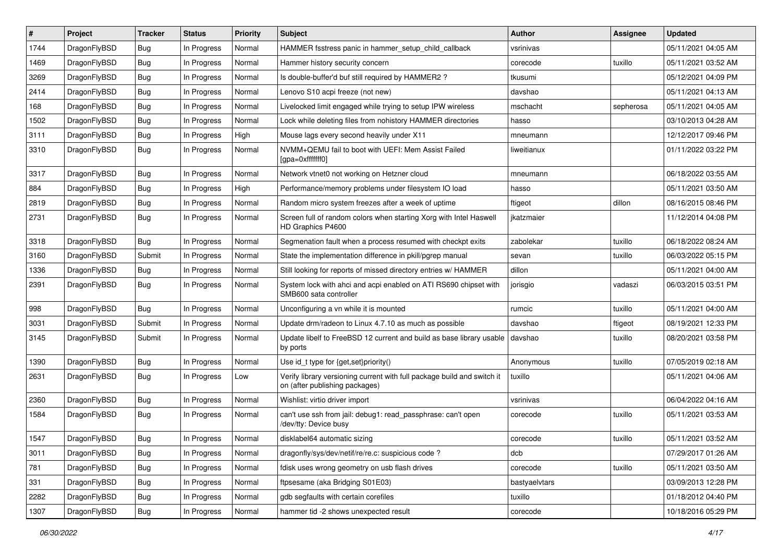| #    | Project      | <b>Tracker</b> | <b>Status</b> | <b>Priority</b> | Subject                                                                                                   | <b>Author</b> | Assignee  | <b>Updated</b>      |
|------|--------------|----------------|---------------|-----------------|-----------------------------------------------------------------------------------------------------------|---------------|-----------|---------------------|
| 1744 | DragonFlyBSD | <b>Bug</b>     | In Progress   | Normal          | HAMMER fsstress panic in hammer_setup_child_callback                                                      | vsrinivas     |           | 05/11/2021 04:05 AM |
| 1469 | DragonFlyBSD | Bug            | In Progress   | Normal          | Hammer history security concern                                                                           | corecode      | tuxillo   | 05/11/2021 03:52 AM |
| 3269 | DragonFlyBSD | <b>Bug</b>     | In Progress   | Normal          | Is double-buffer'd buf still required by HAMMER2 ?                                                        | tkusumi       |           | 05/12/2021 04:09 PM |
| 2414 | DragonFlyBSD | <b>Bug</b>     | In Progress   | Normal          | Lenovo S10 acpi freeze (not new)                                                                          | davshao       |           | 05/11/2021 04:13 AM |
| 168  | DragonFlyBSD | <b>Bug</b>     | In Progress   | Normal          | Livelocked limit engaged while trying to setup IPW wireless                                               | mschacht      | sepherosa | 05/11/2021 04:05 AM |
| 1502 | DragonFlyBSD | <b>Bug</b>     | In Progress   | Normal          | Lock while deleting files from nohistory HAMMER directories                                               | hasso         |           | 03/10/2013 04:28 AM |
| 3111 | DragonFlyBSD | <b>Bug</b>     | In Progress   | High            | Mouse lags every second heavily under X11                                                                 | mneumann      |           | 12/12/2017 09:46 PM |
| 3310 | DragonFlyBSD | <b>Bug</b>     | In Progress   | Normal          | NVMM+QEMU fail to boot with UEFI: Mem Assist Failed<br>[gpa=0xfffffff0]                                   | liweitianux   |           | 01/11/2022 03:22 PM |
| 3317 | DragonFlyBSD | Bug            | In Progress   | Normal          | Network vtnet0 not working on Hetzner cloud                                                               | mneumann      |           | 06/18/2022 03:55 AM |
| 884  | DragonFlyBSD | <b>Bug</b>     | In Progress   | High            | Performance/memory problems under filesystem IO load                                                      | hasso         |           | 05/11/2021 03:50 AM |
| 2819 | DragonFlyBSD | <b>Bug</b>     | In Progress   | Normal          | Random micro system freezes after a week of uptime                                                        | ftigeot       | dillon    | 08/16/2015 08:46 PM |
| 2731 | DragonFlyBSD | Bug            | In Progress   | Normal          | Screen full of random colors when starting Xorg with Intel Haswell<br>HD Graphics P4600                   | jkatzmaier    |           | 11/12/2014 04:08 PM |
| 3318 | DragonFlyBSD | Bug            | In Progress   | Normal          | Segmenation fault when a process resumed with checkpt exits                                               | zabolekar     | tuxillo   | 06/18/2022 08:24 AM |
| 3160 | DragonFlyBSD | Submit         | In Progress   | Normal          | State the implementation difference in pkill/pgrep manual                                                 | sevan         | tuxillo   | 06/03/2022 05:15 PM |
| 1336 | DragonFlyBSD | <b>Bug</b>     | In Progress   | Normal          | Still looking for reports of missed directory entries w/ HAMMER                                           | dillon        |           | 05/11/2021 04:00 AM |
| 2391 | DragonFlyBSD | Bug            | In Progress   | Normal          | System lock with ahci and acpi enabled on ATI RS690 chipset with<br>SMB600 sata controller                | jorisgio      | vadaszi   | 06/03/2015 03:51 PM |
| 998  | DragonFlyBSD | Bug            | In Progress   | Normal          | Unconfiguring a vn while it is mounted                                                                    | rumcic        | tuxillo   | 05/11/2021 04:00 AM |
| 3031 | DragonFlyBSD | Submit         | In Progress   | Normal          | Update drm/radeon to Linux 4.7.10 as much as possible                                                     | davshao       | ftigeot   | 08/19/2021 12:33 PM |
| 3145 | DragonFlyBSD | Submit         | In Progress   | Normal          | Update libelf to FreeBSD 12 current and build as base library usable<br>by ports                          | davshao       | tuxillo   | 08/20/2021 03:58 PM |
| 1390 | DragonFlyBSD | Bug            | In Progress   | Normal          | Use id t type for $\{get, set\}$ priority $()$                                                            | Anonymous     | tuxillo   | 07/05/2019 02:18 AM |
| 2631 | DragonFlyBSD | <b>Bug</b>     | In Progress   | Low             | Verify library versioning current with full package build and switch it<br>on (after publishing packages) | tuxillo       |           | 05/11/2021 04:06 AM |
| 2360 | DragonFlyBSD | <b>Bug</b>     | In Progress   | Normal          | Wishlist: virtio driver import                                                                            | vsrinivas     |           | 06/04/2022 04:16 AM |
| 1584 | DragonFlyBSD | <b>Bug</b>     | In Progress   | Normal          | can't use ssh from jail: debug1: read_passphrase: can't open<br>/dev/tty: Device busy                     | corecode      | tuxillo   | 05/11/2021 03:53 AM |
| 1547 | DragonFlyBSD | Bug            | In Progress   | Normal          | disklabel64 automatic sizing                                                                              | corecode      | tuxillo   | 05/11/2021 03:52 AM |
| 3011 | DragonFlyBSD | Bug            | In Progress   | Normal          | dragonfly/sys/dev/netif/re/re.c: suspicious code ?                                                        | dcb           |           | 07/29/2017 01:26 AM |
| 781  | DragonFlyBSD | Bug            | In Progress   | Normal          | fdisk uses wrong geometry on usb flash drives                                                             | corecode      | tuxillo   | 05/11/2021 03:50 AM |
| 331  | DragonFlyBSD | <b>Bug</b>     | In Progress   | Normal          | ftpsesame (aka Bridging S01E03)                                                                           | bastyaelvtars |           | 03/09/2013 12:28 PM |
| 2282 | DragonFlyBSD | <b>Bug</b>     | In Progress   | Normal          | gdb segfaults with certain corefiles                                                                      | tuxillo       |           | 01/18/2012 04:40 PM |
| 1307 | DragonFlyBSD | <b>Bug</b>     | In Progress   | Normal          | hammer tid -2 shows unexpected result                                                                     | corecode      |           | 10/18/2016 05:29 PM |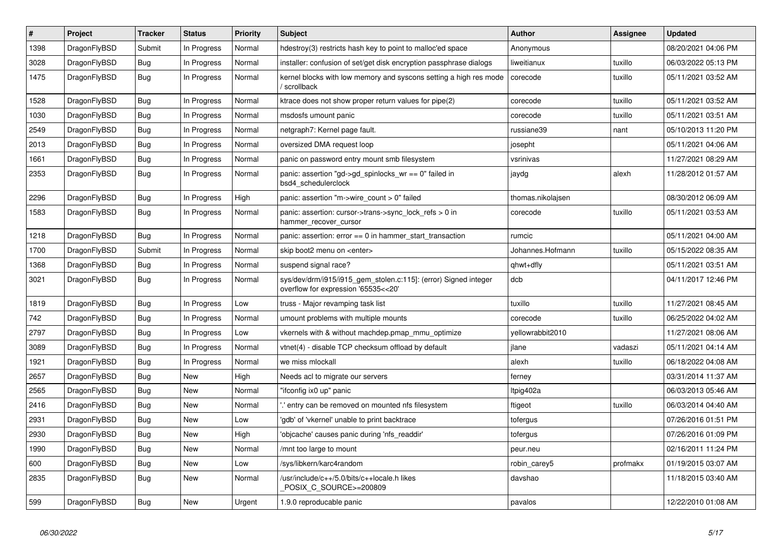| $\vert$ # | <b>Project</b> | <b>Tracker</b> | <b>Status</b> | <b>Priority</b> | <b>Subject</b>                                                                                         | Author            | Assignee | <b>Updated</b>      |
|-----------|----------------|----------------|---------------|-----------------|--------------------------------------------------------------------------------------------------------|-------------------|----------|---------------------|
| 1398      | DragonFlyBSD   | Submit         | In Progress   | Normal          | hdestroy(3) restricts hash key to point to malloc'ed space                                             | Anonymous         |          | 08/20/2021 04:06 PM |
| 3028      | DragonFlyBSD   | <b>Bug</b>     | In Progress   | Normal          | installer: confusion of set/get disk encryption passphrase dialogs                                     | liweitianux       | tuxillo  | 06/03/2022 05:13 PM |
| 1475      | DragonFlyBSD   | <b>Bug</b>     | In Progress   | Normal          | kernel blocks with low memory and syscons setting a high res mode<br>/ scrollback                      | corecode          | tuxillo  | 05/11/2021 03:52 AM |
| 1528      | DragonFlyBSD   | <b>Bug</b>     | In Progress   | Normal          | ktrace does not show proper return values for pipe(2)                                                  | corecode          | tuxillo  | 05/11/2021 03:52 AM |
| 1030      | DragonFlyBSD   | <b>Bug</b>     | In Progress   | Normal          | msdosfs umount panic                                                                                   | corecode          | tuxillo  | 05/11/2021 03:51 AM |
| 2549      | DragonFlyBSD   | Bug            | In Progress   | Normal          | netgraph7: Kernel page fault.                                                                          | russiane39        | nant     | 05/10/2013 11:20 PM |
| 2013      | DragonFlyBSD   | <b>Bug</b>     | In Progress   | Normal          | oversized DMA request loop                                                                             | josepht           |          | 05/11/2021 04:06 AM |
| 1661      | DragonFlyBSD   | <b>Bug</b>     | In Progress   | Normal          | panic on password entry mount smb filesystem                                                           | vsrinivas         |          | 11/27/2021 08:29 AM |
| 2353      | DragonFlyBSD   | <b>Bug</b>     | In Progress   | Normal          | panic: assertion "gd->gd_spinlocks_wr == 0" failed in<br>bsd4 schedulerclock                           | jaydg             | alexh    | 11/28/2012 01:57 AM |
| 2296      | DragonFlyBSD   | <b>Bug</b>     | In Progress   | High            | panic: assertion "m->wire count > $0$ " failed                                                         | thomas.nikolajsen |          | 08/30/2012 06:09 AM |
| 1583      | DragonFlyBSD   | <b>Bug</b>     | In Progress   | Normal          | panic: assertion: cursor->trans->sync_lock_refs > 0 in<br>hammer_recover_cursor                        | corecode          | tuxillo  | 05/11/2021 03:53 AM |
| 1218      | DragonFlyBSD   | <b>Bug</b>     | In Progress   | Normal          | panic: assertion: $error == 0$ in hammer start transaction                                             | rumcic            |          | 05/11/2021 04:00 AM |
| 1700      | DragonFlyBSD   | Submit         | In Progress   | Normal          | skip boot2 menu on <enter></enter>                                                                     | Johannes.Hofmann  | tuxillo  | 05/15/2022 08:35 AM |
| 1368      | DragonFlyBSD   | <b>Bug</b>     | In Progress   | Normal          | suspend signal race?                                                                                   | qhwt+dfly         |          | 05/11/2021 03:51 AM |
| 3021      | DragonFlyBSD   | <b>Bug</b>     | In Progress   | Normal          | sys/dev/drm/i915/i915_gem_stolen.c:115]: (error) Signed integer<br>overflow for expression '65535<<20' | dcb               |          | 04/11/2017 12:46 PM |
| 1819      | DragonFlyBSD   | Bug            | In Progress   | Low             | truss - Major revamping task list                                                                      | tuxillo           | tuxillo  | 11/27/2021 08:45 AM |
| 742       | DragonFlyBSD   | Bug            | In Progress   | Normal          | umount problems with multiple mounts                                                                   | corecode          | tuxillo  | 06/25/2022 04:02 AM |
| 2797      | DragonFlyBSD   | <b>Bug</b>     | In Progress   | Low             | vkernels with & without machdep.pmap mmu optimize                                                      | yellowrabbit2010  |          | 11/27/2021 08:06 AM |
| 3089      | DragonFlyBSD   | Bug            | In Progress   | Normal          | vtnet(4) - disable TCP checksum offload by default                                                     | jlane             | vadaszi  | 05/11/2021 04:14 AM |
| 1921      | DragonFlyBSD   | <b>Bug</b>     | In Progress   | Normal          | we miss mlockall                                                                                       | alexh             | tuxillo  | 06/18/2022 04:08 AM |
| 2657      | DragonFlyBSD   | <b>Bug</b>     | <b>New</b>    | High            | Needs acl to migrate our servers                                                                       | ferney            |          | 03/31/2014 11:37 AM |
| 2565      | DragonFlyBSD   | Bug            | <b>New</b>    | Normal          | "ifconfig ix0 up" panic                                                                                | Itpig402a         |          | 06/03/2013 05:46 AM |
| 2416      | DragonFlyBSD   | <b>Bug</b>     | <b>New</b>    | Normal          | ".' entry can be removed on mounted nfs filesystem                                                     | ftigeot           | tuxillo  | 06/03/2014 04:40 AM |
| 2931      | DragonFlyBSD   | <b>Bug</b>     | <b>New</b>    | Low             | 'gdb' of 'vkernel' unable to print backtrace                                                           | tofergus          |          | 07/26/2016 01:51 PM |
| 2930      | DragonFlyBSD   | <b>Bug</b>     | <b>New</b>    | High            | 'objcache' causes panic during 'nfs_readdir'                                                           | tofergus          |          | 07/26/2016 01:09 PM |
| 1990      | DragonFlyBSD   | Bug            | <b>New</b>    | Normal          | mnt too large to mount                                                                                 | peur.neu          |          | 02/16/2011 11:24 PM |
| 600       | DragonFlyBSD   | <b>Bug</b>     | <b>New</b>    | Low             | /sys/libkern/karc4random                                                                               | robin carey5      | profmakx | 01/19/2015 03:07 AM |
| 2835      | DragonFlyBSD   | <b>Bug</b>     | <b>New</b>    | Normal          | /usr/include/c++/5.0/bits/c++locale.h likes<br>POSIX_C_SOURCE>=200809                                  | davshao           |          | 11/18/2015 03:40 AM |
| 599       | DragonFlyBSD   | Bug            | New           | Urgent          | 1.9.0 reproducable panic                                                                               | pavalos           |          | 12/22/2010 01:08 AM |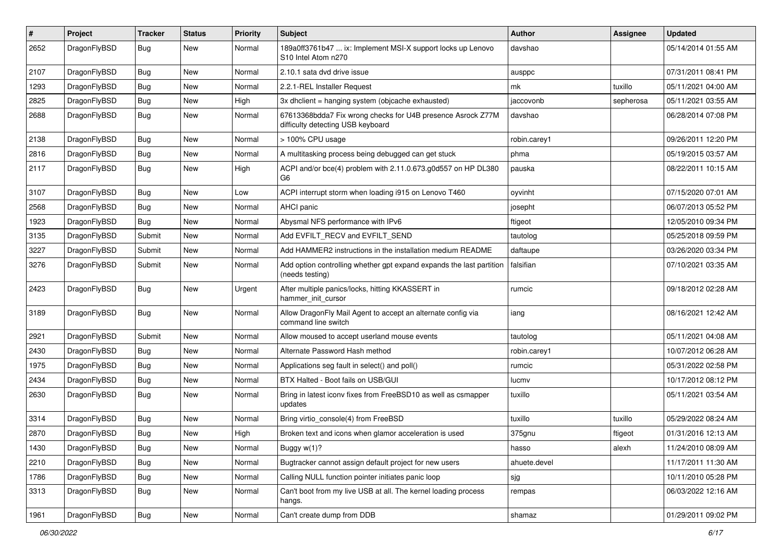| $\#$ | Project      | <b>Tracker</b> | <b>Status</b> | <b>Priority</b> | Subject                                                                                                    | <b>Author</b> | Assignee  | <b>Updated</b>      |
|------|--------------|----------------|---------------|-----------------|------------------------------------------------------------------------------------------------------------|---------------|-----------|---------------------|
| 2652 | DragonFlyBSD | Bug            | New           | Normal          | 189a0ff3761b47  ix: Implement MSI-X support locks up Lenovo<br>S <sub>10</sub> Intel Atom n <sub>270</sub> | davshao       |           | 05/14/2014 01:55 AM |
| 2107 | DragonFlyBSD | Bug            | <b>New</b>    | Normal          | 2.10.1 sata dvd drive issue                                                                                | ausppc        |           | 07/31/2011 08:41 PM |
| 1293 | DragonFlyBSD | <b>Bug</b>     | New           | Normal          | 2.2.1-REL Installer Request                                                                                | mk            | tuxillo   | 05/11/2021 04:00 AM |
| 2825 | DragonFlyBSD | Bug            | <b>New</b>    | High            | 3x dhclient = hanging system (objcache exhausted)                                                          | jaccovonb     | sepherosa | 05/11/2021 03:55 AM |
| 2688 | DragonFlyBSD | <b>Bug</b>     | New           | Normal          | 67613368bdda7 Fix wrong checks for U4B presence Asrock Z77M<br>difficulty detecting USB keyboard           | davshao       |           | 06/28/2014 07:08 PM |
| 2138 | DragonFlyBSD | Bug            | New           | Normal          | > 100% CPU usage                                                                                           | robin.carey1  |           | 09/26/2011 12:20 PM |
| 2816 | DragonFlyBSD | <b>Bug</b>     | <b>New</b>    | Normal          | A multitasking process being debugged can get stuck                                                        | phma          |           | 05/19/2015 03:57 AM |
| 2117 | DragonFlyBSD | Bug            | New           | High            | ACPI and/or bce(4) problem with 2.11.0.673.g0d557 on HP DL380<br>G6                                        | pauska        |           | 08/22/2011 10:15 AM |
| 3107 | DragonFlyBSD | Bug            | <b>New</b>    | Low             | ACPI interrupt storm when loading i915 on Lenovo T460                                                      | oyvinht       |           | 07/15/2020 07:01 AM |
| 2568 | DragonFlyBSD | Bug            | <b>New</b>    | Normal          | AHCI panic                                                                                                 | josepht       |           | 06/07/2013 05:52 PM |
| 1923 | DragonFlyBSD | <b>Bug</b>     | New           | Normal          | Abysmal NFS performance with IPv6                                                                          | ftigeot       |           | 12/05/2010 09:34 PM |
| 3135 | DragonFlyBSD | Submit         | New           | Normal          | Add EVFILT_RECV and EVFILT_SEND                                                                            | tautolog      |           | 05/25/2018 09:59 PM |
| 3227 | DragonFlyBSD | Submit         | New           | Normal          | Add HAMMER2 instructions in the installation medium README                                                 | daftaupe      |           | 03/26/2020 03:34 PM |
| 3276 | DragonFlyBSD | Submit         | New           | Normal          | Add option controlling whether gpt expand expands the last partition<br>(needs testing)                    | falsifian     |           | 07/10/2021 03:35 AM |
| 2423 | DragonFlyBSD | Bug            | New           | Urgent          | After multiple panics/locks, hitting KKASSERT in<br>hammer init cursor                                     | rumcic        |           | 09/18/2012 02:28 AM |
| 3189 | DragonFlyBSD | Bug            | New           | Normal          | Allow DragonFly Mail Agent to accept an alternate config via<br>command line switch                        | iang          |           | 08/16/2021 12:42 AM |
| 2921 | DragonFlyBSD | Submit         | New           | Normal          | Allow moused to accept userland mouse events                                                               | tautolog      |           | 05/11/2021 04:08 AM |
| 2430 | DragonFlyBSD | <b>Bug</b>     | New           | Normal          | Alternate Password Hash method                                                                             | robin.carey1  |           | 10/07/2012 06:28 AM |
| 1975 | DragonFlyBSD | <b>Bug</b>     | <b>New</b>    | Normal          | Applications seg fault in select() and poll()                                                              | rumcic        |           | 05/31/2022 02:58 PM |
| 2434 | DragonFlyBSD | Bug            | New           | Normal          | BTX Halted - Boot fails on USB/GUI                                                                         | lucmv         |           | 10/17/2012 08:12 PM |
| 2630 | DragonFlyBSD | <b>Bug</b>     | <b>New</b>    | Normal          | Bring in latest iconv fixes from FreeBSD10 as well as csmapper<br>updates                                  | tuxillo       |           | 05/11/2021 03:54 AM |
| 3314 | DragonFlyBSD | Bug            | <b>New</b>    | Normal          | Bring virtio_console(4) from FreeBSD                                                                       | tuxillo       | tuxillo   | 05/29/2022 08:24 AM |
| 2870 | DragonFlyBSD | Bug            | New           | High            | Broken text and icons when glamor acceleration is used                                                     | 375gnu        | ftigeot   | 01/31/2016 12:13 AM |
| 1430 | DragonFlyBSD | <b>Bug</b>     | New           | Normal          | Buggy w(1)?                                                                                                | hasso         | alexh     | 11/24/2010 08:09 AM |
| 2210 | DragonFlyBSD | <b>Bug</b>     | <b>New</b>    | Normal          | Bugtracker cannot assign default project for new users                                                     | ahuete.devel  |           | 11/17/2011 11:30 AM |
| 1786 | DragonFlyBSD | Bug            | New           | Normal          | Calling NULL function pointer initiates panic loop                                                         | sjg           |           | 10/11/2010 05:28 PM |
| 3313 | DragonFlyBSD | <b>Bug</b>     | New           | Normal          | Can't boot from my live USB at all. The kernel loading process<br>hangs.                                   | rempas        |           | 06/03/2022 12:16 AM |
| 1961 | DragonFlyBSD | Bug            | New           | Normal          | Can't create dump from DDB                                                                                 | shamaz        |           | 01/29/2011 09:02 PM |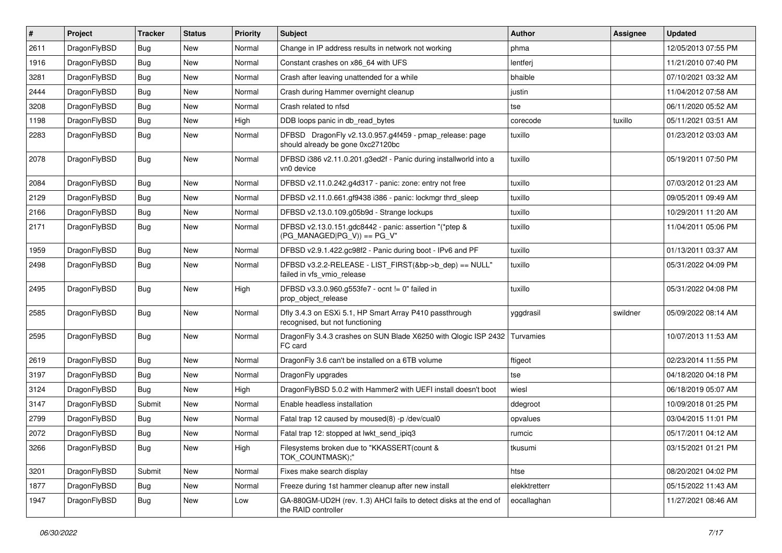| $\vert$ # | Project      | <b>Tracker</b> | <b>Status</b> | <b>Priority</b> | Subject                                                                                      | <b>Author</b> | Assignee | <b>Updated</b>      |
|-----------|--------------|----------------|---------------|-----------------|----------------------------------------------------------------------------------------------|---------------|----------|---------------------|
| 2611      | DragonFlyBSD | Bug            | New           | Normal          | Change in IP address results in network not working                                          | phma          |          | 12/05/2013 07:55 PM |
| 1916      | DragonFlyBSD | <b>Bug</b>     | New           | Normal          | Constant crashes on x86_64 with UFS                                                          | lentferj      |          | 11/21/2010 07:40 PM |
| 3281      | DragonFlyBSD | Bug            | New           | Normal          | Crash after leaving unattended for a while                                                   | bhaible       |          | 07/10/2021 03:32 AM |
| 2444      | DragonFlyBSD | Bug            | New           | Normal          | Crash during Hammer overnight cleanup                                                        | justin        |          | 11/04/2012 07:58 AM |
| 3208      | DragonFlyBSD | <b>Bug</b>     | New           | Normal          | Crash related to nfsd                                                                        | tse           |          | 06/11/2020 05:52 AM |
| 1198      | DragonFlyBSD | <b>Bug</b>     | New           | High            | DDB loops panic in db read bytes                                                             | corecode      | tuxillo  | 05/11/2021 03:51 AM |
| 2283      | DragonFlyBSD | Bug            | New           | Normal          | DFBSD DragonFly v2.13.0.957.g4f459 - pmap_release: page<br>should already be gone 0xc27120bc | tuxillo       |          | 01/23/2012 03:03 AM |
| 2078      | DragonFlyBSD | Bug            | New           | Normal          | DFBSD i386 v2.11.0.201.g3ed2f - Panic during installworld into a<br>vn0 device               | tuxillo       |          | 05/19/2011 07:50 PM |
| 2084      | DragonFlyBSD | <b>Bug</b>     | New           | Normal          | DFBSD v2.11.0.242.g4d317 - panic: zone: entry not free                                       | tuxillo       |          | 07/03/2012 01:23 AM |
| 2129      | DragonFlyBSD | Bug            | New           | Normal          | DFBSD v2.11.0.661.gf9438 i386 - panic: lockmgr thrd_sleep                                    | tuxillo       |          | 09/05/2011 09:49 AM |
| 2166      | DragonFlyBSD | <b>Bug</b>     | New           | Normal          | DFBSD v2.13.0.109.g05b9d - Strange lockups                                                   | tuxillo       |          | 10/29/2011 11:20 AM |
| 2171      | DragonFlyBSD | <b>Bug</b>     | New           | Normal          | DFBSD v2.13.0.151.gdc8442 - panic: assertion "(*ptep &<br>$(PG_MANAGED PG_V)) == PG_V"$      | tuxillo       |          | 11/04/2011 05:06 PM |
| 1959      | DragonFlyBSD | <b>Bug</b>     | New           | Normal          | DFBSD v2.9.1.422.gc98f2 - Panic during boot - IPv6 and PF                                    | tuxillo       |          | 01/13/2011 03:37 AM |
| 2498      | DragonFlyBSD | Bug            | New           | Normal          | DFBSD v3.2.2-RELEASE - LIST FIRST(&bp->b dep) == NULL"<br>failed in vfs_vmio_release         | tuxillo       |          | 05/31/2022 04:09 PM |
| 2495      | DragonFlyBSD | <b>Bug</b>     | New           | High            | DFBSD v3.3.0.960.g553fe7 - ocnt != 0" failed in<br>prop_object_release                       | tuxillo       |          | 05/31/2022 04:08 PM |
| 2585      | DragonFlyBSD | Bug            | <b>New</b>    | Normal          | Dfly 3.4.3 on ESXi 5.1, HP Smart Array P410 passthrough<br>recognised, but not functioning   | yggdrasil     | swildner | 05/09/2022 08:14 AM |
| 2595      | DragonFlyBSD | <b>Bug</b>     | New           | Normal          | DragonFly 3.4.3 crashes on SUN Blade X6250 with Qlogic ISP 2432 Turvamies<br>FC card         |               |          | 10/07/2013 11:53 AM |
| 2619      | DragonFlyBSD | <b>Bug</b>     | New           | Normal          | DragonFly 3.6 can't be installed on a 6TB volume                                             | ftigeot       |          | 02/23/2014 11:55 PM |
| 3197      | DragonFlyBSD | <b>Bug</b>     | <b>New</b>    | Normal          | DragonFly upgrades                                                                           | tse           |          | 04/18/2020 04:18 PM |
| 3124      | DragonFlyBSD | Bug            | New           | High            | DragonFlyBSD 5.0.2 with Hammer2 with UEFI install doesn't boot                               | wiesl         |          | 06/18/2019 05:07 AM |
| 3147      | DragonFlyBSD | Submit         | New           | Normal          | Enable headless installation                                                                 | ddegroot      |          | 10/09/2018 01:25 PM |
| 2799      | DragonFlyBSD | Bug            | <b>New</b>    | Normal          | Fatal trap 12 caused by moused(8) -p /dev/cual0                                              | opvalues      |          | 03/04/2015 11:01 PM |
| 2072      | DragonFlyBSD | Bug            | New           | Normal          | Fatal trap 12: stopped at lwkt send ipig3                                                    | rumcic        |          | 05/17/2011 04:12 AM |
| 3266      | DragonFlyBSD | Bug            | New           | High            | Filesystems broken due to "KKASSERT(count &<br>TOK COUNTMASK);"                              | tkusumi       |          | 03/15/2021 01:21 PM |
| 3201      | DragonFlyBSD | Submit         | New           | Normal          | Fixes make search display                                                                    | htse          |          | 08/20/2021 04:02 PM |
| 1877      | DragonFlyBSD | Bug            | New           | Normal          | Freeze during 1st hammer cleanup after new install                                           | elekktretterr |          | 05/15/2022 11:43 AM |
| 1947      | DragonFlyBSD | Bug            | New           | Low             | GA-880GM-UD2H (rev. 1.3) AHCI fails to detect disks at the end of<br>the RAID controller     | eocallaghan   |          | 11/27/2021 08:46 AM |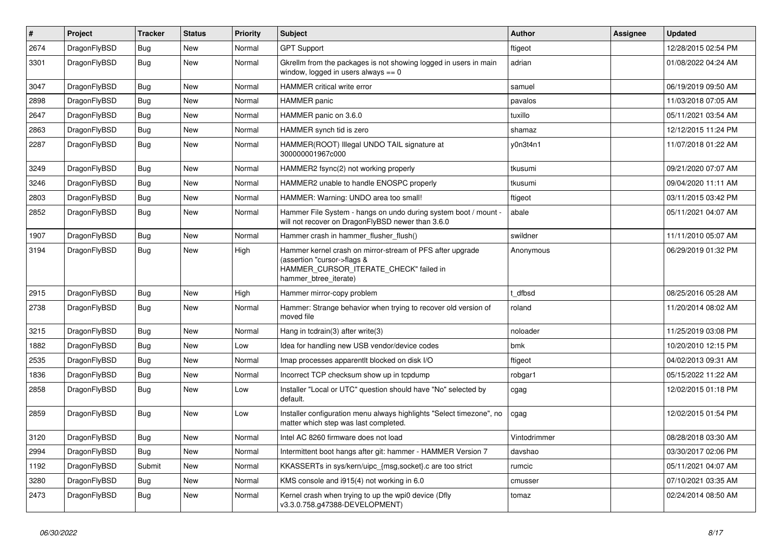| $\vert$ # | Project      | <b>Tracker</b> | <b>Status</b> | <b>Priority</b> | <b>Subject</b>                                                                                                                                              | <b>Author</b> | Assignee | <b>Updated</b>      |
|-----------|--------------|----------------|---------------|-----------------|-------------------------------------------------------------------------------------------------------------------------------------------------------------|---------------|----------|---------------------|
| 2674      | DragonFlyBSD | Bug            | <b>New</b>    | Normal          | <b>GPT Support</b>                                                                                                                                          | ftigeot       |          | 12/28/2015 02:54 PM |
| 3301      | DragonFlyBSD | Bug            | New           | Normal          | Gkrellm from the packages is not showing logged in users in main<br>window, logged in users always == 0                                                     | adrian        |          | 01/08/2022 04:24 AM |
| 3047      | DragonFlyBSD | <b>Bug</b>     | <b>New</b>    | Normal          | <b>HAMMER</b> critical write error                                                                                                                          | samuel        |          | 06/19/2019 09:50 AM |
| 2898      | DragonFlyBSD | <b>Bug</b>     | <b>New</b>    | Normal          | <b>HAMMER</b> panic                                                                                                                                         | pavalos       |          | 11/03/2018 07:05 AM |
| 2647      | DragonFlyBSD | <b>Bug</b>     | <b>New</b>    | Normal          | HAMMER panic on 3.6.0                                                                                                                                       | tuxillo       |          | 05/11/2021 03:54 AM |
| 2863      | DragonFlyBSD | <b>Bug</b>     | <b>New</b>    | Normal          | HAMMER synch tid is zero                                                                                                                                    | shamaz        |          | 12/12/2015 11:24 PM |
| 2287      | DragonFlyBSD | Bug            | <b>New</b>    | Normal          | HAMMER(ROOT) Illegal UNDO TAIL signature at<br>300000001967c000                                                                                             | y0n3t4n1      |          | 11/07/2018 01:22 AM |
| 3249      | DragonFlyBSD | Bug            | <b>New</b>    | Normal          | HAMMER2 fsync(2) not working properly                                                                                                                       | tkusumi       |          | 09/21/2020 07:07 AM |
| 3246      | DragonFlyBSD | Bug            | <b>New</b>    | Normal          | HAMMER2 unable to handle ENOSPC properly                                                                                                                    | tkusumi       |          | 09/04/2020 11:11 AM |
| 2803      | DragonFlyBSD | <b>Bug</b>     | New           | Normal          | HAMMER: Warning: UNDO area too small!                                                                                                                       | ftigeot       |          | 03/11/2015 03:42 PM |
| 2852      | DragonFlyBSD | <b>Bug</b>     | New           | Normal          | Hammer File System - hangs on undo during system boot / mount -<br>will not recover on DragonFlyBSD newer than 3.6.0                                        | abale         |          | 05/11/2021 04:07 AM |
| 1907      | DragonFlyBSD | <b>Bug</b>     | <b>New</b>    | Normal          | Hammer crash in hammer_flusher_flush()                                                                                                                      | swildner      |          | 11/11/2010 05:07 AM |
| 3194      | DragonFlyBSD | Bug            | <b>New</b>    | High            | Hammer kernel crash on mirror-stream of PFS after upgrade<br>(assertion "cursor->flags &<br>HAMMER_CURSOR_ITERATE_CHECK" failed in<br>hammer_btree_iterate) | Anonymous     |          | 06/29/2019 01:32 PM |
| 2915      | DragonFlyBSD | Bug            | <b>New</b>    | High            | Hammer mirror-copy problem                                                                                                                                  | t dfbsd       |          | 08/25/2016 05:28 AM |
| 2738      | DragonFlyBSD | Bug            | New           | Normal          | Hammer: Strange behavior when trying to recover old version of<br>moved file                                                                                | roland        |          | 11/20/2014 08:02 AM |
| 3215      | DragonFlyBSD | <b>Bug</b>     | <b>New</b>    | Normal          | Hang in tcdrain(3) after write(3)                                                                                                                           | noloader      |          | 11/25/2019 03:08 PM |
| 1882      | DragonFlyBSD | <b>Bug</b>     | <b>New</b>    | Low             | Idea for handling new USB vendor/device codes                                                                                                               | bmk           |          | 10/20/2010 12:15 PM |
| 2535      | DragonFlyBSD | <b>Bug</b>     | <b>New</b>    | Normal          | Imap processes apparentlt blocked on disk I/O                                                                                                               | ftigeot       |          | 04/02/2013 09:31 AM |
| 1836      | DragonFlyBSD | <b>Bug</b>     | <b>New</b>    | Normal          | Incorrect TCP checksum show up in tcpdump                                                                                                                   | robgar1       |          | 05/15/2022 11:22 AM |
| 2858      | DragonFlyBSD | <b>Bug</b>     | <b>New</b>    | Low             | Installer "Local or UTC" question should have "No" selected by<br>default.                                                                                  | cgag          |          | 12/02/2015 01:18 PM |
| 2859      | DragonFlyBSD | <b>Bug</b>     | <b>New</b>    | Low             | Installer configuration menu always highlights "Select timezone", no<br>matter which step was last completed.                                               | cgag          |          | 12/02/2015 01:54 PM |
| 3120      | DragonFlyBSD | Bug            | <b>New</b>    | Normal          | Intel AC 8260 firmware does not load                                                                                                                        | Vintodrimmer  |          | 08/28/2018 03:30 AM |
| 2994      | DragonFlyBSD | Bug            | <b>New</b>    | Normal          | Intermittent boot hangs after git: hammer - HAMMER Version 7                                                                                                | davshao       |          | 03/30/2017 02:06 PM |
| 1192      | DragonFlyBSD | Submit         | New           | Normal          | KKASSERTs in sys/kern/uipc_{msg,socket}.c are too strict                                                                                                    | rumcic        |          | 05/11/2021 04:07 AM |
| 3280      | DragonFlyBSD | Bug            | <b>New</b>    | Normal          | KMS console and i915(4) not working in 6.0                                                                                                                  | cmusser       |          | 07/10/2021 03:35 AM |
| 2473      | DragonFlyBSD | <b>Bug</b>     | New           | Normal          | Kernel crash when trying to up the wpi0 device (Dfly<br>v3.3.0.758.g47388-DEVELOPMENT)                                                                      | tomaz         |          | 02/24/2014 08:50 AM |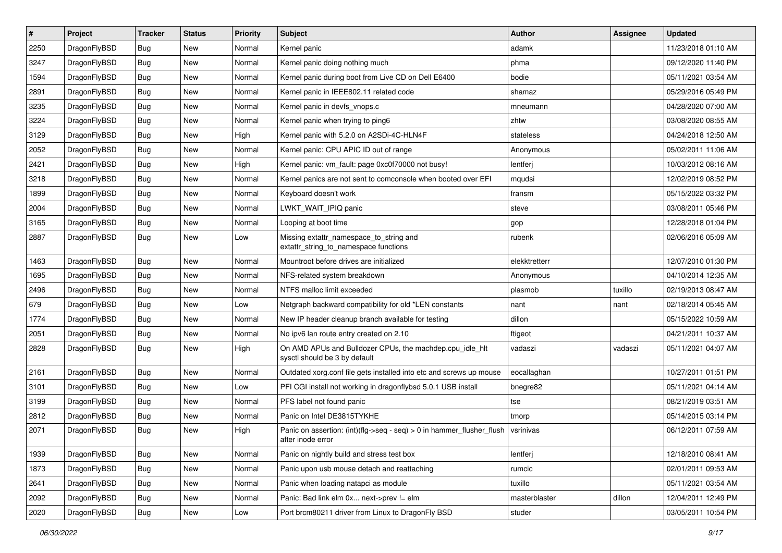| $\sharp$ | Project      | <b>Tracker</b> | <b>Status</b> | <b>Priority</b> | Subject                                                                                       | <b>Author</b> | Assignee | <b>Updated</b>      |
|----------|--------------|----------------|---------------|-----------------|-----------------------------------------------------------------------------------------------|---------------|----------|---------------------|
| 2250     | DragonFlyBSD | <b>Bug</b>     | New           | Normal          | Kernel panic                                                                                  | adamk         |          | 11/23/2018 01:10 AM |
| 3247     | DragonFlyBSD | Bug            | New           | Normal          | Kernel panic doing nothing much                                                               | phma          |          | 09/12/2020 11:40 PM |
| 1594     | DragonFlyBSD | <b>Bug</b>     | New           | Normal          | Kernel panic during boot from Live CD on Dell E6400                                           | bodie         |          | 05/11/2021 03:54 AM |
| 2891     | DragonFlyBSD | <b>Bug</b>     | New           | Normal          | Kernel panic in IEEE802.11 related code                                                       | shamaz        |          | 05/29/2016 05:49 PM |
| 3235     | DragonFlyBSD | <b>Bug</b>     | <b>New</b>    | Normal          | Kernel panic in devfs vnops.c                                                                 | mneumann      |          | 04/28/2020 07:00 AM |
| 3224     | DragonFlyBSD | <b>Bug</b>     | <b>New</b>    | Normal          | Kernel panic when trying to ping6                                                             | zhtw          |          | 03/08/2020 08:55 AM |
| 3129     | DragonFlyBSD | <b>Bug</b>     | New           | High            | Kernel panic with 5.2.0 on A2SDi-4C-HLN4F                                                     | stateless     |          | 04/24/2018 12:50 AM |
| 2052     | DragonFlyBSD | <b>Bug</b>     | New           | Normal          | Kernel panic: CPU APIC ID out of range                                                        | Anonymous     |          | 05/02/2011 11:06 AM |
| 2421     | DragonFlyBSD | <b>Bug</b>     | New           | High            | Kernel panic: vm fault: page 0xc0f70000 not busy!                                             | lentferj      |          | 10/03/2012 08:16 AM |
| 3218     | DragonFlyBSD | Bug            | New           | Normal          | Kernel panics are not sent to comconsole when booted over EFI                                 | mqudsi        |          | 12/02/2019 08:52 PM |
| 1899     | DragonFlyBSD | <b>Bug</b>     | New           | Normal          | Keyboard doesn't work                                                                         | fransm        |          | 05/15/2022 03:32 PM |
| 2004     | DragonFlyBSD | <b>Bug</b>     | <b>New</b>    | Normal          | LWKT WAIT IPIQ panic                                                                          | steve         |          | 03/08/2011 05:46 PM |
| 3165     | DragonFlyBSD | Bug            | New           | Normal          | Looping at boot time                                                                          | gop           |          | 12/28/2018 01:04 PM |
| 2887     | DragonFlyBSD | Bug            | New           | Low             | Missing extattr_namespace_to_string and<br>extattr_string_to_namespace functions              | rubenk        |          | 02/06/2016 05:09 AM |
| 1463     | DragonFlyBSD | Bug            | <b>New</b>    | Normal          | Mountroot before drives are initialized                                                       | elekktretterr |          | 12/07/2010 01:30 PM |
| 1695     | DragonFlyBSD | Bug            | New           | Normal          | NFS-related system breakdown                                                                  | Anonymous     |          | 04/10/2014 12:35 AM |
| 2496     | DragonFlyBSD | Bug            | New           | Normal          | NTFS malloc limit exceeded                                                                    | plasmob       | tuxillo  | 02/19/2013 08:47 AM |
| 679      | DragonFlyBSD | Bug            | New           | Low             | Netgraph backward compatibility for old *LEN constants                                        | nant          | nant     | 02/18/2014 05:45 AM |
| 1774     | DragonFlyBSD | Bug            | New           | Normal          | New IP header cleanup branch available for testing                                            | dillon        |          | 05/15/2022 10:59 AM |
| 2051     | DragonFlyBSD | Bug            | New           | Normal          | No ipv6 lan route entry created on 2.10                                                       | ftigeot       |          | 04/21/2011 10:37 AM |
| 2828     | DragonFlyBSD | Bug            | New           | High            | On AMD APUs and Bulldozer CPUs, the machdep.cpu_idle_hlt<br>sysctl should be 3 by default     | vadaszi       | vadaszi  | 05/11/2021 04:07 AM |
| 2161     | DragonFlyBSD | Bug            | <b>New</b>    | Normal          | Outdated xorg.conf file gets installed into etc and screws up mouse                           | eocallaghan   |          | 10/27/2011 01:51 PM |
| 3101     | DragonFlyBSD | Bug            | New           | Low             | PFI CGI install not working in dragonflybsd 5.0.1 USB install                                 | bnegre82      |          | 05/11/2021 04:14 AM |
| 3199     | DragonFlyBSD | Bug            | New           | Normal          | PFS label not found panic                                                                     | tse           |          | 08/21/2019 03:51 AM |
| 2812     | DragonFlyBSD | Bug            | New           | Normal          | Panic on Intel DE3815TYKHE                                                                    | tmorp         |          | 05/14/2015 03:14 PM |
| 2071     | DragonFlyBSD | Bug            | New           | High            | Panic on assertion: $(int)(flag->seq - seq) > 0$ in hammer flusher flush<br>after inode error | vsrinivas     |          | 06/12/2011 07:59 AM |
| 1939     | DragonFlyBSD | Bug            | <b>New</b>    | Normal          | Panic on nightly build and stress test box                                                    | lentferj      |          | 12/18/2010 08:41 AM |
| 1873     | DragonFlyBSD | Bug            | <b>New</b>    | Normal          | Panic upon usb mouse detach and reattaching                                                   | rumcic        |          | 02/01/2011 09:53 AM |
| 2641     | DragonFlyBSD | <b>Bug</b>     | New           | Normal          | Panic when loading natapci as module                                                          | tuxillo       |          | 05/11/2021 03:54 AM |
| 2092     | DragonFlyBSD | <b>Bug</b>     | New           | Normal          | Panic: Bad link elm 0x next->prev != elm                                                      | masterblaster | dillon   | 12/04/2011 12:49 PM |
| 2020     | DragonFlyBSD | <b>Bug</b>     | New           | Low             | Port brcm80211 driver from Linux to DragonFly BSD                                             | studer        |          | 03/05/2011 10:54 PM |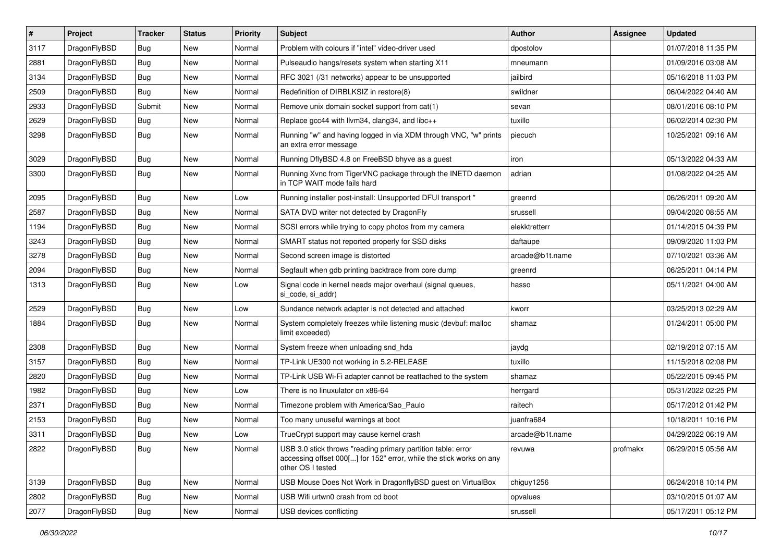| $\sharp$ | Project      | <b>Tracker</b> | <b>Status</b> | <b>Priority</b> | Subject                                                                                                                                                  | <b>Author</b>   | Assignee | <b>Updated</b>      |
|----------|--------------|----------------|---------------|-----------------|----------------------------------------------------------------------------------------------------------------------------------------------------------|-----------------|----------|---------------------|
| 3117     | DragonFlyBSD | Bug            | New           | Normal          | Problem with colours if "intel" video-driver used                                                                                                        | dpostolov       |          | 01/07/2018 11:35 PM |
| 2881     | DragonFlyBSD | Bug            | New           | Normal          | Pulseaudio hangs/resets system when starting X11                                                                                                         | mneumann        |          | 01/09/2016 03:08 AM |
| 3134     | DragonFlyBSD | Bug            | New           | Normal          | RFC 3021 (/31 networks) appear to be unsupported                                                                                                         | jailbird        |          | 05/16/2018 11:03 PM |
| 2509     | DragonFlyBSD | Bug            | New           | Normal          | Redefinition of DIRBLKSIZ in restore(8)                                                                                                                  | swildner        |          | 06/04/2022 04:40 AM |
| 2933     | DragonFlyBSD | Submit         | New           | Normal          | Remove unix domain socket support from cat(1)                                                                                                            | sevan           |          | 08/01/2016 08:10 PM |
| 2629     | DragonFlyBSD | Bug            | <b>New</b>    | Normal          | Replace gcc44 with llvm34, clang34, and libc++                                                                                                           | tuxillo         |          | 06/02/2014 02:30 PM |
| 3298     | DragonFlyBSD | Bug            | New           | Normal          | Running "w" and having logged in via XDM through VNC, "w" prints<br>an extra error message                                                               | piecuch         |          | 10/25/2021 09:16 AM |
| 3029     | DragonFlyBSD | Bug            | <b>New</b>    | Normal          | Running DflyBSD 4.8 on FreeBSD bhyve as a guest                                                                                                          | iron            |          | 05/13/2022 04:33 AM |
| 3300     | DragonFlyBSD | Bug            | <b>New</b>    | Normal          | Running Xvnc from TigerVNC package through the INETD daemon<br>in TCP WAIT mode fails hard                                                               | adrian          |          | 01/08/2022 04:25 AM |
| 2095     | DragonFlyBSD | Bug            | <b>New</b>    | Low             | Running installer post-install: Unsupported DFUI transport "                                                                                             | greenrd         |          | 06/26/2011 09:20 AM |
| 2587     | DragonFlyBSD | Bug            | New           | Normal          | SATA DVD writer not detected by DragonFly                                                                                                                | srussell        |          | 09/04/2020 08:55 AM |
| 1194     | DragonFlyBSD | Bug            | New           | Normal          | SCSI errors while trying to copy photos from my camera                                                                                                   | elekktretterr   |          | 01/14/2015 04:39 PM |
| 3243     | DragonFlyBSD | Bug            | New           | Normal          | SMART status not reported properly for SSD disks                                                                                                         | daftaupe        |          | 09/09/2020 11:03 PM |
| 3278     | DragonFlyBSD | Bug            | <b>New</b>    | Normal          | Second screen image is distorted                                                                                                                         | arcade@b1t.name |          | 07/10/2021 03:36 AM |
| 2094     | DragonFlyBSD | <b>Bug</b>     | New           | Normal          | Segfault when gdb printing backtrace from core dump                                                                                                      | greenrd         |          | 06/25/2011 04:14 PM |
| 1313     | DragonFlyBSD | Bug            | New           | Low             | Signal code in kernel needs major overhaul (signal queues,<br>si code, si addr)                                                                          | hasso           |          | 05/11/2021 04:00 AM |
| 2529     | DragonFlyBSD | Bug            | <b>New</b>    | Low             | Sundance network adapter is not detected and attached                                                                                                    | kworr           |          | 03/25/2013 02:29 AM |
| 1884     | DragonFlyBSD | Bug            | New           | Normal          | System completely freezes while listening music (devbuf: malloc<br>limit exceeded)                                                                       | shamaz          |          | 01/24/2011 05:00 PM |
| 2308     | DragonFlyBSD | Bug            | New           | Normal          | System freeze when unloading snd_hda                                                                                                                     | jaydg           |          | 02/19/2012 07:15 AM |
| 3157     | DragonFlyBSD | Bug            | <b>New</b>    | Normal          | TP-Link UE300 not working in 5.2-RELEASE                                                                                                                 | tuxillo         |          | 11/15/2018 02:08 PM |
| 2820     | DragonFlyBSD | Bug            | New           | Normal          | TP-Link USB Wi-Fi adapter cannot be reattached to the system                                                                                             | shamaz          |          | 05/22/2015 09:45 PM |
| 1982     | DragonFlyBSD | Bug            | New           | Low             | There is no linuxulator on x86-64                                                                                                                        | herrgard        |          | 05/31/2022 02:25 PM |
| 2371     | DragonFlyBSD | Bug            | New           | Normal          | Timezone problem with America/Sao Paulo                                                                                                                  | raitech         |          | 05/17/2012 01:42 PM |
| 2153     | DragonFlyBSD | Bug            | <b>New</b>    | Normal          | Too many unuseful warnings at boot                                                                                                                       | juanfra684      |          | 10/18/2011 10:16 PM |
| 3311     | DragonFlyBSD | <b>Bug</b>     | New           | Low             | TrueCrypt support may cause kernel crash                                                                                                                 | arcade@b1t.name |          | 04/29/2022 06:19 AM |
| 2822     | DragonFlyBSD | <b>Bug</b>     | New           | Normal          | USB 3.0 stick throws "reading primary partition table: error<br>accessing offset 000[] for 152" error, while the stick works on any<br>other OS I tested | revuwa          | profmakx | 06/29/2015 05:56 AM |
| 3139     | DragonFlyBSD | <b>Bug</b>     | New           | Normal          | USB Mouse Does Not Work in DragonflyBSD guest on VirtualBox                                                                                              | chiguy1256      |          | 06/24/2018 10:14 PM |
| 2802     | DragonFlyBSD | <b>Bug</b>     | <b>New</b>    | Normal          | USB Wifi urtwn0 crash from cd boot                                                                                                                       | opvalues        |          | 03/10/2015 01:07 AM |
| 2077     | DragonFlyBSD | <b>Bug</b>     | New           | Normal          | USB devices conflicting                                                                                                                                  | srussell        |          | 05/17/2011 05:12 PM |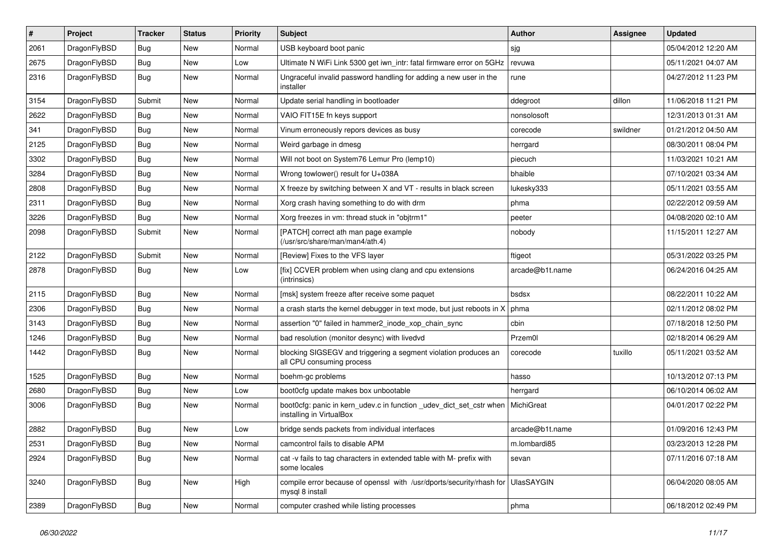| $\pmb{\#}$ | Project      | <b>Tracker</b> | <b>Status</b> | <b>Priority</b> | Subject                                                                                         | <b>Author</b>   | Assignee | <b>Updated</b>      |
|------------|--------------|----------------|---------------|-----------------|-------------------------------------------------------------------------------------------------|-----------------|----------|---------------------|
| 2061       | DragonFlyBSD | Bug            | <b>New</b>    | Normal          | USB keyboard boot panic                                                                         | sjg             |          | 05/04/2012 12:20 AM |
| 2675       | DragonFlyBSD | Bug            | <b>New</b>    | Low             | Ultimate N WiFi Link 5300 get iwn_intr: fatal firmware error on 5GHz                            | revuwa          |          | 05/11/2021 04:07 AM |
| 2316       | DragonFlyBSD | Bug            | New           | Normal          | Ungraceful invalid password handling for adding a new user in the<br>installer                  | rune            |          | 04/27/2012 11:23 PM |
| 3154       | DragonFlyBSD | Submit         | <b>New</b>    | Normal          | Update serial handling in bootloader                                                            | ddegroot        | dillon   | 11/06/2018 11:21 PM |
| 2622       | DragonFlyBSD | Bug            | New           | Normal          | VAIO FIT15E fn keys support                                                                     | nonsolosoft     |          | 12/31/2013 01:31 AM |
| 341        | DragonFlyBSD | Bug            | <b>New</b>    | Normal          | Vinum erroneously repors devices as busy                                                        | corecode        | swildner | 01/21/2012 04:50 AM |
| 2125       | DragonFlyBSD | Bug            | <b>New</b>    | Normal          | Weird garbage in dmesg                                                                          | herrgard        |          | 08/30/2011 08:04 PM |
| 3302       | DragonFlyBSD | Bug            | New           | Normal          | Will not boot on System76 Lemur Pro (lemp10)                                                    | piecuch         |          | 11/03/2021 10:21 AM |
| 3284       | DragonFlyBSD | Bug            | New           | Normal          | Wrong towlower() result for U+038A                                                              | bhaible         |          | 07/10/2021 03:34 AM |
| 2808       | DragonFlyBSD | Bug            | New           | Normal          | X freeze by switching between X and VT - results in black screen                                | lukesky333      |          | 05/11/2021 03:55 AM |
| 2311       | DragonFlyBSD | Bug            | New           | Normal          | Xorg crash having something to do with drm                                                      | phma            |          | 02/22/2012 09:59 AM |
| 3226       | DragonFlyBSD | Bug            | <b>New</b>    | Normal          | Xorg freezes in vm: thread stuck in "objtrm1"                                                   | peeter          |          | 04/08/2020 02:10 AM |
| 2098       | DragonFlyBSD | Submit         | New           | Normal          | [PATCH] correct ath man page example<br>(/usr/src/share/man/man4/ath.4)                         | nobody          |          | 11/15/2011 12:27 AM |
| 2122       | DragonFlyBSD | Submit         | <b>New</b>    | Normal          | [Review] Fixes to the VFS layer                                                                 | ftigeot         |          | 05/31/2022 03:25 PM |
| 2878       | DragonFlyBSD | Bug            | New           | Low             | [fix] CCVER problem when using clang and cpu extensions<br>(intrinsics)                         | arcade@b1t.name |          | 06/24/2016 04:25 AM |
| 2115       | DragonFlyBSD | <b>Bug</b>     | New           | Normal          | [msk] system freeze after receive some paquet                                                   | bsdsx           |          | 08/22/2011 10:22 AM |
| 2306       | DragonFlyBSD | Bug            | <b>New</b>    | Normal          | a crash starts the kernel debugger in text mode, but just reboots in X                          | phma            |          | 02/11/2012 08:02 PM |
| 3143       | DragonFlyBSD | Bug            | <b>New</b>    | Normal          | assertion "0" failed in hammer2_inode_xop_chain_sync                                            | cbin            |          | 07/18/2018 12:50 PM |
| 1246       | DragonFlyBSD | Bug            | New           | Normal          | bad resolution (monitor desync) with livedvd                                                    | Przem0l         |          | 02/18/2014 06:29 AM |
| 1442       | DragonFlyBSD | Bug            | New           | Normal          | blocking SIGSEGV and triggering a segment violation produces an<br>all CPU consuming process    | corecode        | tuxillo  | 05/11/2021 03:52 AM |
| 1525       | DragonFlyBSD | Bug            | <b>New</b>    | Normal          | boehm-gc problems                                                                               | hasso           |          | 10/13/2012 07:13 PM |
| 2680       | DragonFlyBSD | <b>Bug</b>     | <b>New</b>    | Low             | boot0cfg update makes box unbootable                                                            | herrgard        |          | 06/10/2014 06:02 AM |
| 3006       | DragonFlyBSD | Bug            | <b>New</b>    | Normal          | boot0cfg: panic in kern_udev.c in function _udev_dict_set_cstr when<br>installing in VirtualBox | MichiGreat      |          | 04/01/2017 02:22 PM |
| 2882       | DragonFlyBSD | <b>Bug</b>     | New           | Low             | bridge sends packets from individual interfaces                                                 | arcade@b1t.name |          | 01/09/2016 12:43 PM |
| 2531       | DragonFlyBSD | Bug            | New           | Normal          | camcontrol fails to disable APM                                                                 | m.lombardi85    |          | 03/23/2013 12:28 PM |
| 2924       | DragonFlyBSD | Bug            | New           | Normal          | cat -v fails to tag characters in extended table with M- prefix with<br>some locales            | sevan           |          | 07/11/2016 07:18 AM |
| 3240       | DragonFlyBSD | Bug            | New           | High            | compile error because of openssl with /usr/dports/security/rhash for<br>mysql 8 install         | UlasSAYGIN      |          | 06/04/2020 08:05 AM |
| 2389       | DragonFlyBSD | <b>Bug</b>     | New           | Normal          | computer crashed while listing processes                                                        | phma            |          | 06/18/2012 02:49 PM |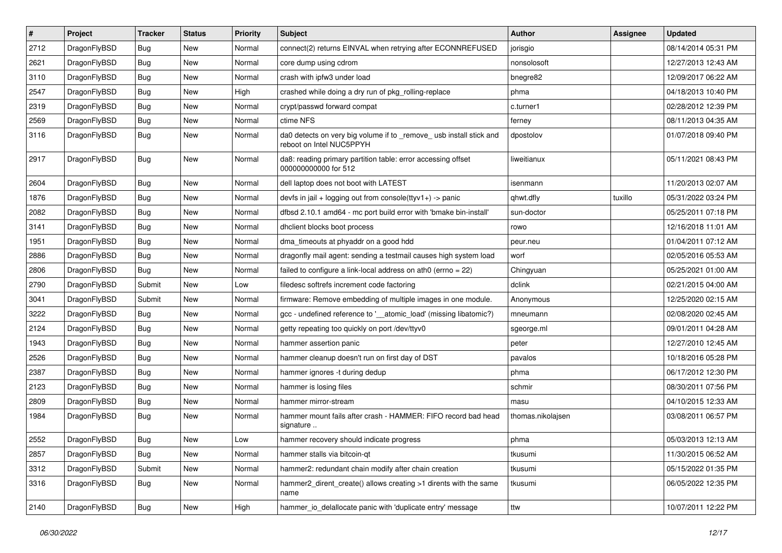| $\sharp$ | Project      | <b>Tracker</b> | <b>Status</b> | <b>Priority</b> | Subject                                                                                         | <b>Author</b>     | Assignee | <b>Updated</b>      |
|----------|--------------|----------------|---------------|-----------------|-------------------------------------------------------------------------------------------------|-------------------|----------|---------------------|
| 2712     | DragonFlyBSD | <b>Bug</b>     | New           | Normal          | connect(2) returns EINVAL when retrying after ECONNREFUSED                                      | jorisgio          |          | 08/14/2014 05:31 PM |
| 2621     | DragonFlyBSD | <b>Bug</b>     | New           | Normal          | core dump using cdrom                                                                           | nonsolosoft       |          | 12/27/2013 12:43 AM |
| 3110     | DragonFlyBSD | <b>Bug</b>     | New           | Normal          | crash with ipfw3 under load                                                                     | bnegre82          |          | 12/09/2017 06:22 AM |
| 2547     | DragonFlyBSD | <b>Bug</b>     | New           | High            | crashed while doing a dry run of pkg rolling-replace                                            | phma              |          | 04/18/2013 10:40 PM |
| 2319     | DragonFlyBSD | <b>Bug</b>     | <b>New</b>    | Normal          | crypt/passwd forward compat                                                                     | c.turner1         |          | 02/28/2012 12:39 PM |
| 2569     | DragonFlyBSD | <b>Bug</b>     | New           | Normal          | ctime NFS                                                                                       | ferney            |          | 08/11/2013 04:35 AM |
| 3116     | DragonFlyBSD | <b>Bug</b>     | New           | Normal          | da0 detects on very big volume if to _remove_ usb install stick and<br>reboot on Intel NUC5PPYH | dpostolov         |          | 01/07/2018 09:40 PM |
| 2917     | DragonFlyBSD | <b>Bug</b>     | New           | Normal          | da8: reading primary partition table: error accessing offset<br>000000000000 for 512            | liweitianux       |          | 05/11/2021 08:43 PM |
| 2604     | DragonFlyBSD | <b>Bug</b>     | <b>New</b>    | Normal          | dell laptop does not boot with LATEST                                                           | isenmann          |          | 11/20/2013 02:07 AM |
| 1876     | DragonFlyBSD | <b>Bug</b>     | <b>New</b>    | Normal          | devfs in jail + logging out from console(ttyv1+) -> panic                                       | qhwt.dfly         | tuxillo  | 05/31/2022 03:24 PM |
| 2082     | DragonFlyBSD | <b>Bug</b>     | New           | Normal          | dfbsd 2.10.1 amd64 - mc port build error with 'bmake bin-install'                               | sun-doctor        |          | 05/25/2011 07:18 PM |
| 3141     | DragonFlyBSD | <b>Bug</b>     | New           | Normal          | dhclient blocks boot process                                                                    | rowo              |          | 12/16/2018 11:01 AM |
| 1951     | DragonFlyBSD | <b>Bug</b>     | New           | Normal          | dma_timeouts at phyaddr on a good hdd                                                           | peur.neu          |          | 01/04/2011 07:12 AM |
| 2886     | DragonFlyBSD | <b>Bug</b>     | New           | Normal          | dragonfly mail agent: sending a testmail causes high system load                                | worf              |          | 02/05/2016 05:53 AM |
| 2806     | DragonFlyBSD | <b>Bug</b>     | New           | Normal          | failed to configure a link-local address on ath0 (errno = 22)                                   | Chingyuan         |          | 05/25/2021 01:00 AM |
| 2790     | DragonFlyBSD | Submit         | <b>New</b>    | Low             | filedesc softrefs increment code factoring                                                      | dclink            |          | 02/21/2015 04:00 AM |
| 3041     | DragonFlyBSD | Submit         | New           | Normal          | firmware: Remove embedding of multiple images in one module.                                    | Anonymous         |          | 12/25/2020 02:15 AM |
| 3222     | DragonFlyBSD | <b>Bug</b>     | New           | Normal          | gcc - undefined reference to '__atomic_load' (missing libatomic?)                               | mneumann          |          | 02/08/2020 02:45 AM |
| 2124     | DragonFlyBSD | <b>Bug</b>     | New           | Normal          | getty repeating too quickly on port /dev/ttyv0                                                  | sgeorge.ml        |          | 09/01/2011 04:28 AM |
| 1943     | DragonFlyBSD | <b>Bug</b>     | New           | Normal          | hammer assertion panic                                                                          | peter             |          | 12/27/2010 12:45 AM |
| 2526     | DragonFlyBSD | <b>Bug</b>     | New           | Normal          | hammer cleanup doesn't run on first day of DST                                                  | pavalos           |          | 10/18/2016 05:28 PM |
| 2387     | DragonFlyBSD | <b>Bug</b>     | New           | Normal          | hammer ignores -t during dedup                                                                  | phma              |          | 06/17/2012 12:30 PM |
| 2123     | DragonFlyBSD | <b>Bug</b>     | <b>New</b>    | Normal          | hammer is losing files                                                                          | schmir            |          | 08/30/2011 07:56 PM |
| 2809     | DragonFlyBSD | <b>Bug</b>     | New           | Normal          | hammer mirror-stream                                                                            | masu              |          | 04/10/2015 12:33 AM |
| 1984     | DragonFlyBSD | <b>Bug</b>     | New           | Normal          | hammer mount fails after crash - HAMMER: FIFO record bad head<br>signature                      | thomas.nikolajsen |          | 03/08/2011 06:57 PM |
| 2552     | DragonFlyBSD | Bug            | <b>New</b>    | Low             | hammer recovery should indicate progress                                                        | phma              |          | 05/03/2013 12:13 AM |
| 2857     | DragonFlyBSD | Bug            | <b>New</b>    | Normal          | hammer stalls via bitcoin-qt                                                                    | tkusumi           |          | 11/30/2015 06:52 AM |
| 3312     | DragonFlyBSD | Submit         | New           | Normal          | hammer2: redundant chain modify after chain creation                                            | tkusumi           |          | 05/15/2022 01:35 PM |
| 3316     | DragonFlyBSD | <b>Bug</b>     | New           | Normal          | hammer2 dirent create() allows creating >1 dirents with the same<br>name                        | tkusumi           |          | 06/05/2022 12:35 PM |
| 2140     | DragonFlyBSD | <b>Bug</b>     | New           | High            | hammer_io_delallocate panic with 'duplicate entry' message                                      | ttw               |          | 10/07/2011 12:22 PM |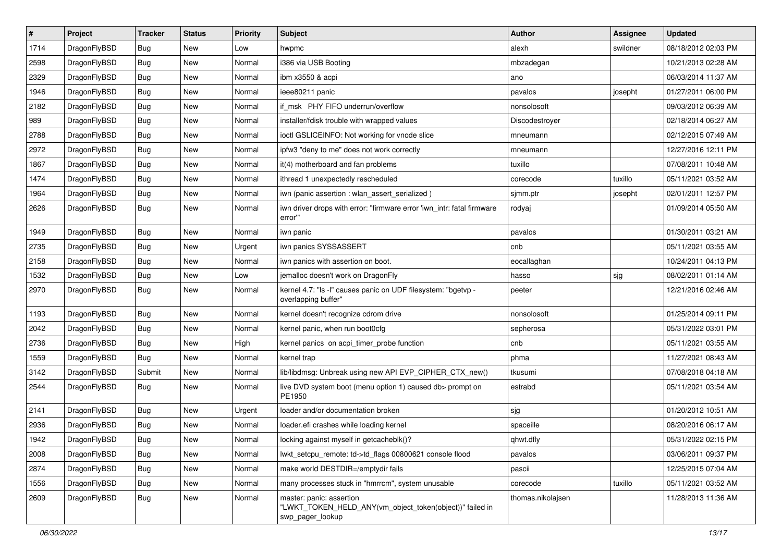| $\vert$ # | Project      | <b>Tracker</b> | <b>Status</b> | <b>Priority</b> | <b>Subject</b>                                                                                           | <b>Author</b>     | Assignee | <b>Updated</b>      |
|-----------|--------------|----------------|---------------|-----------------|----------------------------------------------------------------------------------------------------------|-------------------|----------|---------------------|
| 1714      | DragonFlyBSD | Bug            | <b>New</b>    | Low             | hwpmc                                                                                                    | alexh             | swildner | 08/18/2012 02:03 PM |
| 2598      | DragonFlyBSD | <b>Bug</b>     | <b>New</b>    | Normal          | i386 via USB Booting                                                                                     | mbzadegan         |          | 10/21/2013 02:28 AM |
| 2329      | DragonFlyBSD | <b>Bug</b>     | <b>New</b>    | Normal          | ibm x3550 & acpi                                                                                         | ano               |          | 06/03/2014 11:37 AM |
| 1946      | DragonFlyBSD | Bug            | <b>New</b>    | Normal          | ieee80211 panic                                                                                          | pavalos           | josepht  | 01/27/2011 06:00 PM |
| 2182      | DragonFlyBSD | Bug            | <b>New</b>    | Normal          | if msk PHY FIFO underrun/overflow                                                                        | nonsolosoft       |          | 09/03/2012 06:39 AM |
| 989       | DragonFlyBSD | <b>Bug</b>     | New           | Normal          | installer/fdisk trouble with wrapped values                                                              | Discodestroyer    |          | 02/18/2014 06:27 AM |
| 2788      | DragonFlyBSD | Bug            | <b>New</b>    | Normal          | ioctl GSLICEINFO: Not working for vnode slice                                                            | mneumann          |          | 02/12/2015 07:49 AM |
| 2972      | DragonFlyBSD | <b>Bug</b>     | <b>New</b>    | Normal          | ipfw3 "deny to me" does not work correctly                                                               | mneumann          |          | 12/27/2016 12:11 PM |
| 1867      | DragonFlyBSD | <b>Bug</b>     | <b>New</b>    | Normal          | it(4) motherboard and fan problems                                                                       | tuxillo           |          | 07/08/2011 10:48 AM |
| 1474      | DragonFlyBSD | <b>Bug</b>     | <b>New</b>    | Normal          | ithread 1 unexpectedly rescheduled                                                                       | corecode          | tuxillo  | 05/11/2021 03:52 AM |
| 1964      | DragonFlyBSD | <b>Bug</b>     | <b>New</b>    | Normal          | iwn (panic assertion : wlan assert serialized)                                                           | sjmm.ptr          | josepht  | 02/01/2011 12:57 PM |
| 2626      | DragonFlyBSD | Bug            | <b>New</b>    | Normal          | iwn driver drops with error: "firmware error 'iwn_intr: fatal firmware<br>error"                         | rodyaj            |          | 01/09/2014 05:50 AM |
| 1949      | DragonFlyBSD | Bug            | <b>New</b>    | Normal          | iwn panic                                                                                                | pavalos           |          | 01/30/2011 03:21 AM |
| 2735      | DragonFlyBSD | <b>Bug</b>     | <b>New</b>    | Urgent          | iwn panics SYSSASSERT                                                                                    | cnb               |          | 05/11/2021 03:55 AM |
| 2158      | DragonFlyBSD | <b>Bug</b>     | <b>New</b>    | Normal          | iwn panics with assertion on boot.                                                                       | eocallaghan       |          | 10/24/2011 04:13 PM |
| 1532      | DragonFlyBSD | Bug            | New           | Low             | jemalloc doesn't work on DragonFly                                                                       | hasso             | sjg      | 08/02/2011 01:14 AM |
| 2970      | DragonFlyBSD | Bug            | <b>New</b>    | Normal          | kernel 4.7: "Is -I" causes panic on UDF filesystem: "bgetvp -<br>overlapping buffer"                     | peeter            |          | 12/21/2016 02:46 AM |
| 1193      | DragonFlyBSD | Bug            | <b>New</b>    | Normal          | kernel doesn't recognize cdrom drive                                                                     | nonsolosoft       |          | 01/25/2014 09:11 PM |
| 2042      | DragonFlyBSD | Bug            | <b>New</b>    | Normal          | kernel panic, when run boot0cfg                                                                          | sepherosa         |          | 05/31/2022 03:01 PM |
| 2736      | DragonFlyBSD | <b>Bug</b>     | <b>New</b>    | High            | kernel panics on acpi_timer_probe function                                                               | cnb               |          | 05/11/2021 03:55 AM |
| 1559      | DragonFlyBSD | Bug            | <b>New</b>    | Normal          | kernel trap                                                                                              | phma              |          | 11/27/2021 08:43 AM |
| 3142      | DragonFlyBSD | Submit         | <b>New</b>    | Normal          | lib/libdmsg: Unbreak using new API EVP_CIPHER_CTX_new()                                                  | tkusumi           |          | 07/08/2018 04:18 AM |
| 2544      | DragonFlyBSD | Bug            | <b>New</b>    | Normal          | live DVD system boot (menu option 1) caused db> prompt on<br>PE1950                                      | estrabd           |          | 05/11/2021 03:54 AM |
| 2141      | DragonFlyBSD | Bug            | <b>New</b>    | Urgent          | loader and/or documentation broken                                                                       | sjg               |          | 01/20/2012 10:51 AM |
| 2936      | DragonFlyBSD | Bug            | <b>New</b>    | Normal          | loader.efi crashes while loading kernel                                                                  | spaceille         |          | 08/20/2016 06:17 AM |
| 1942      | DragonFlyBSD | Bug            | New           | Normal          | locking against myself in getcacheblk()?                                                                 | qhwt.dfly         |          | 05/31/2022 02:15 PM |
| 2008      | DragonFlyBSD | <b>Bug</b>     | <b>New</b>    | Normal          | lwkt_setcpu_remote: td->td_flags 00800621 console flood                                                  | pavalos           |          | 03/06/2011 09:37 PM |
| 2874      | DragonFlyBSD | Bug            | New           | Normal          | make world DESTDIR=/emptydir fails                                                                       | pascii            |          | 12/25/2015 07:04 AM |
| 1556      | DragonFlyBSD | <b>Bug</b>     | New           | Normal          | many processes stuck in "hmrrcm", system unusable                                                        | corecode          | tuxillo  | 05/11/2021 03:52 AM |
| 2609      | DragonFlyBSD | Bug            | New           | Normal          | master: panic: assertion<br>"LWKT TOKEN HELD ANY(vm object token(object))" failed in<br>swp pager lookup | thomas.nikolajsen |          | 11/28/2013 11:36 AM |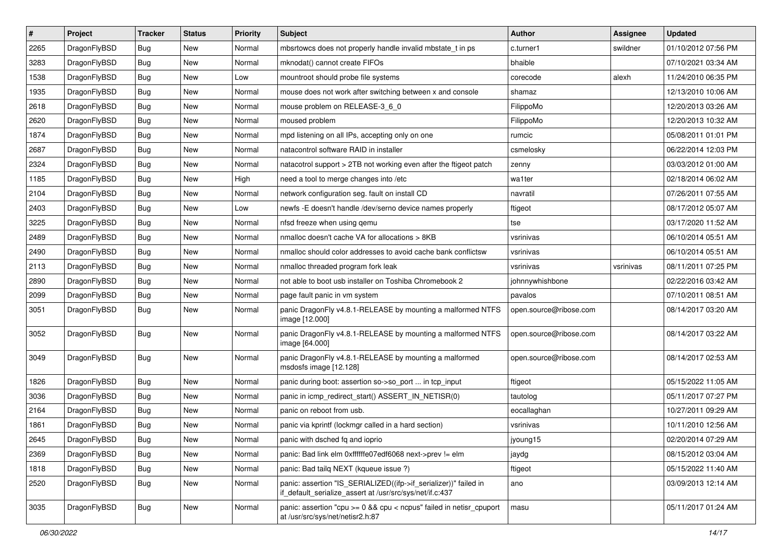| $\#$ | Project      | <b>Tracker</b> | <b>Status</b> | <b>Priority</b> | Subject                                                                                                                      | <b>Author</b>          | Assignee  | <b>Updated</b>      |
|------|--------------|----------------|---------------|-----------------|------------------------------------------------------------------------------------------------------------------------------|------------------------|-----------|---------------------|
| 2265 | DragonFlyBSD | <b>Bug</b>     | New           | Normal          | mbsrtowcs does not properly handle invalid mbstate_t in ps                                                                   | c.turner1              | swildner  | 01/10/2012 07:56 PM |
| 3283 | DragonFlyBSD | <b>Bug</b>     | <b>New</b>    | Normal          | mknodat() cannot create FIFOs                                                                                                | bhaible                |           | 07/10/2021 03:34 AM |
| 1538 | DragonFlyBSD | <b>Bug</b>     | New           | Low             | mountroot should probe file systems                                                                                          | corecode               | alexh     | 11/24/2010 06:35 PM |
| 1935 | DragonFlyBSD | <b>Bug</b>     | New           | Normal          | mouse does not work after switching between x and console                                                                    | shamaz                 |           | 12/13/2010 10:06 AM |
| 2618 | DragonFlyBSD | <b>Bug</b>     | <b>New</b>    | Normal          | mouse problem on RELEASE-3_6_0                                                                                               | FilippoMo              |           | 12/20/2013 03:26 AM |
| 2620 | DragonFlyBSD | <b>Bug</b>     | New           | Normal          | moused problem                                                                                                               | FilippoMo              |           | 12/20/2013 10:32 AM |
| 1874 | DragonFlyBSD | <b>Bug</b>     | New           | Normal          | mpd listening on all IPs, accepting only on one                                                                              | rumcic                 |           | 05/08/2011 01:01 PM |
| 2687 | DragonFlyBSD | <b>Bug</b>     | New           | Normal          | natacontrol software RAID in installer                                                                                       | csmelosky              |           | 06/22/2014 12:03 PM |
| 2324 | DragonFlyBSD | Bug            | New           | Normal          | natacotrol support > 2TB not working even after the ftigeot patch                                                            | zenny                  |           | 03/03/2012 01:00 AM |
| 1185 | DragonFlyBSD | Bug            | <b>New</b>    | High            | need a tool to merge changes into /etc                                                                                       | wa1ter                 |           | 02/18/2014 06:02 AM |
| 2104 | DragonFlyBSD | Bug            | New           | Normal          | network configuration seg. fault on install CD                                                                               | navratil               |           | 07/26/2011 07:55 AM |
| 2403 | DragonFlyBSD | Bug            | New           | Low             | newfs -E doesn't handle /dev/serno device names properly                                                                     | ftigeot                |           | 08/17/2012 05:07 AM |
| 3225 | DragonFlyBSD | Bug            | New           | Normal          | nfsd freeze when using gemu                                                                                                  | tse                    |           | 03/17/2020 11:52 AM |
| 2489 | DragonFlyBSD | Bug            | New           | Normal          | nmalloc doesn't cache VA for allocations > 8KB                                                                               | vsrinivas              |           | 06/10/2014 05:51 AM |
| 2490 | DragonFlyBSD | Bug            | <b>New</b>    | Normal          | nmalloc should color addresses to avoid cache bank conflictsw                                                                | vsrinivas              |           | 06/10/2014 05:51 AM |
| 2113 | DragonFlyBSD | Bug            | <b>New</b>    | Normal          | nmalloc threaded program fork leak                                                                                           | vsrinivas              | vsrinivas | 08/11/2011 07:25 PM |
| 2890 | DragonFlyBSD | Bug            | New           | Normal          | not able to boot usb installer on Toshiba Chromebook 2                                                                       | johnnywhishbone        |           | 02/22/2016 03:42 AM |
| 2099 | DragonFlyBSD | Bug            | <b>New</b>    | Normal          | page fault panic in vm system                                                                                                | pavalos                |           | 07/10/2011 08:51 AM |
| 3051 | DragonFlyBSD | Bug            | New           | Normal          | panic DragonFly v4.8.1-RELEASE by mounting a malformed NTFS<br>image [12.000]                                                | open.source@ribose.com |           | 08/14/2017 03:20 AM |
| 3052 | DragonFlyBSD | <b>Bug</b>     | New           | Normal          | panic DragonFly v4.8.1-RELEASE by mounting a malformed NTFS<br>image [64.000]                                                | open.source@ribose.com |           | 08/14/2017 03:22 AM |
| 3049 | DragonFlyBSD | <b>Bug</b>     | New           | Normal          | panic DragonFly v4.8.1-RELEASE by mounting a malformed<br>msdosfs image [12.128]                                             | open.source@ribose.com |           | 08/14/2017 02:53 AM |
| 1826 | DragonFlyBSD | <b>Bug</b>     | New           | Normal          | panic during boot: assertion so->so_port  in tcp_input                                                                       | ftigeot                |           | 05/15/2022 11:05 AM |
| 3036 | DragonFlyBSD | <b>Bug</b>     | <b>New</b>    | Normal          | panic in icmp_redirect_start() ASSERT_IN_NETISR(0)                                                                           | tautolog               |           | 05/11/2017 07:27 PM |
| 2164 | DragonFlyBSD | <b>Bug</b>     | New           | Normal          | panic on reboot from usb.                                                                                                    | eocallaghan            |           | 10/27/2011 09:29 AM |
| 1861 | DragonFlyBSD | <b>Bug</b>     | New           | Normal          | panic via kprintf (lockmgr called in a hard section)                                                                         | vsrinivas              |           | 10/11/2010 12:56 AM |
| 2645 | DragonFlyBSD | Bug            | New           | Normal          | panic with dsched fq and ioprio                                                                                              | jyoung15               |           | 02/20/2014 07:29 AM |
| 2369 | DragonFlyBSD | <b>Bug</b>     | New           | Normal          | panic: Bad link elm 0xffffffe07edf6068 next->prev != elm                                                                     | jaydg                  |           | 08/15/2012 03:04 AM |
| 1818 | DragonFlyBSD | <b>Bug</b>     | <b>New</b>    | Normal          | panic: Bad tailg NEXT (kqueue issue ?)                                                                                       | ftigeot                |           | 05/15/2022 11:40 AM |
| 2520 | DragonFlyBSD | <b>Bug</b>     | New           | Normal          | panic: assertion "IS SERIALIZED((ifp->if serializer))" failed in<br>if_default_serialize_assert at /usr/src/sys/net/if.c:437 | ano                    |           | 03/09/2013 12:14 AM |
| 3035 | DragonFlyBSD | <b>Bug</b>     | <b>New</b>    | Normal          | panic: assertion "cpu >= 0 && cpu < ncpus" failed in netisr_cpuport<br>at /usr/src/sys/net/netisr2.h:87                      | masu                   |           | 05/11/2017 01:24 AM |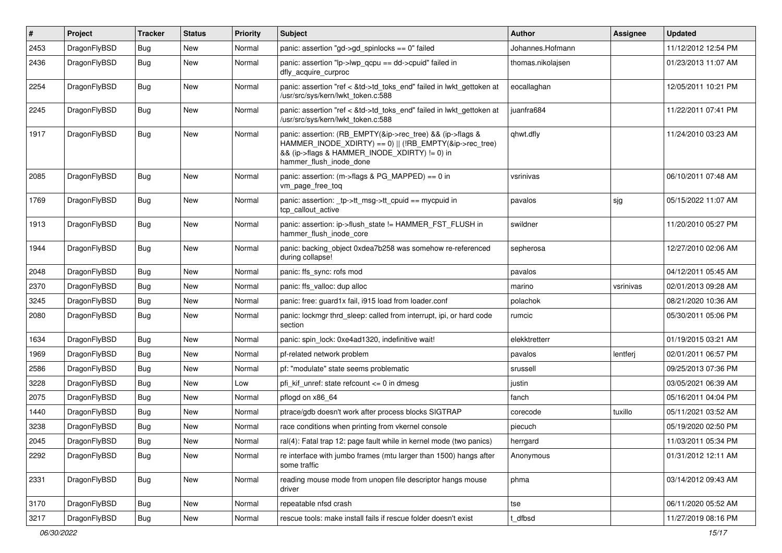| #    | Project      | <b>Tracker</b> | <b>Status</b> | <b>Priority</b> | Subject                                                                                                                                                                                           | <b>Author</b>     | <b>Assignee</b> | Updated             |
|------|--------------|----------------|---------------|-----------------|---------------------------------------------------------------------------------------------------------------------------------------------------------------------------------------------------|-------------------|-----------------|---------------------|
| 2453 | DragonFlyBSD | <b>Bug</b>     | <b>New</b>    | Normal          | panic: assertion "gd->gd spinlocks == $0$ " failed                                                                                                                                                | Johannes.Hofmann  |                 | 11/12/2012 12:54 PM |
| 2436 | DragonFlyBSD | <b>Bug</b>     | <b>New</b>    | Normal          | panic: assertion "lp->lwp_qcpu == dd->cpuid" failed in<br>dfly_acquire_curproc                                                                                                                    | thomas.nikolajsen |                 | 01/23/2013 11:07 AM |
| 2254 | DragonFlyBSD | Bug            | New           | Normal          | panic: assertion "ref < &td->td_toks_end" failed in lwkt_gettoken at<br>/usr/src/sys/kern/lwkt_token.c:588                                                                                        | eocallaghan       |                 | 12/05/2011 10:21 PM |
| 2245 | DragonFlyBSD | <b>Bug</b>     | New           | Normal          | panic: assertion "ref < &td->td toks end" failed in lwkt gettoken at<br>/usr/src/sys/kern/lwkt_token.c:588                                                                                        | juanfra684        |                 | 11/22/2011 07:41 PM |
| 1917 | DragonFlyBSD | Bug            | <b>New</b>    | Normal          | panic: assertion: (RB EMPTY(&ip->rec tree) && (ip->flags &<br>HAMMER_INODE_XDIRTY) == 0)    (!RB_EMPTY(&ip->rec_tree)<br>&& (ip->flags & HAMMER_INODE_XDIRTY) != 0) in<br>hammer_flush_inode_done | qhwt.dfly         |                 | 11/24/2010 03:23 AM |
| 2085 | DragonFlyBSD | <b>Bug</b>     | <b>New</b>    | Normal          | panic: assertion: (m->flags & PG_MAPPED) == 0 in<br>vm_page_free_toq                                                                                                                              | vsrinivas         |                 | 06/10/2011 07:48 AM |
| 1769 | DragonFlyBSD | <b>Bug</b>     | <b>New</b>    | Normal          | panic: assertion: _tp->tt_msg->tt_cpuid == mycpuid in<br>tcp callout active                                                                                                                       | pavalos           | sjg             | 05/15/2022 11:07 AM |
| 1913 | DragonFlyBSD | <b>Bug</b>     | New           | Normal          | panic: assertion: ip->flush_state != HAMMER_FST_FLUSH in<br>hammer flush inode core                                                                                                               | swildner          |                 | 11/20/2010 05:27 PM |
| 1944 | DragonFlyBSD | Bug            | New           | Normal          | panic: backing object 0xdea7b258 was somehow re-referenced<br>during collapse!                                                                                                                    | sepherosa         |                 | 12/27/2010 02:06 AM |
| 2048 | DragonFlyBSD | <b>Bug</b>     | New           | Normal          | panic: ffs sync: rofs mod                                                                                                                                                                         | pavalos           |                 | 04/12/2011 05:45 AM |
| 2370 | DragonFlyBSD | <b>Bug</b>     | New           | Normal          | panic: ffs valloc: dup alloc                                                                                                                                                                      | marino            | vsrinivas       | 02/01/2013 09:28 AM |
| 3245 | DragonFlyBSD | <b>Bug</b>     | New           | Normal          | panic: free: guard1x fail, i915 load from loader.conf                                                                                                                                             | polachok          |                 | 08/21/2020 10:36 AM |
| 2080 | DragonFlyBSD | <b>Bug</b>     | New           | Normal          | panic: lockmgr thrd sleep: called from interrupt, ipi, or hard code<br>section                                                                                                                    | rumcic            |                 | 05/30/2011 05:06 PM |
| 1634 | DragonFlyBSD | <b>Bug</b>     | <b>New</b>    | Normal          | panic: spin lock: 0xe4ad1320, indefinitive wait!                                                                                                                                                  | elekktretterr     |                 | 01/19/2015 03:21 AM |
| 1969 | DragonFlyBSD | <b>Bug</b>     | <b>New</b>    | Normal          | pf-related network problem                                                                                                                                                                        | pavalos           | lentferj        | 02/01/2011 06:57 PM |
| 2586 | DragonFlyBSD | <b>Bug</b>     | New           | Normal          | pf: "modulate" state seems problematic                                                                                                                                                            | srussell          |                 | 09/25/2013 07:36 PM |
| 3228 | DragonFlyBSD | <b>Bug</b>     | New           | Low             | pfi kif unref: state refcount $\leq$ 0 in dmesg                                                                                                                                                   | justin            |                 | 03/05/2021 06:39 AM |
| 2075 | DragonFlyBSD | <b>Bug</b>     | New           | Normal          | pflogd on x86 64                                                                                                                                                                                  | fanch             |                 | 05/16/2011 04:04 PM |
| 1440 | DragonFlyBSD | Bug            | New           | Normal          | ptrace/gdb doesn't work after process blocks SIGTRAP                                                                                                                                              | corecode          | tuxillo         | 05/11/2021 03:52 AM |
| 3238 | DragonFlyBSD | <b>Bug</b>     | New           | Normal          | race conditions when printing from vkernel console                                                                                                                                                | piecuch           |                 | 05/19/2020 02:50 PM |
| 2045 | DragonFlyBSD | Bug            | New           | Normal          | ral(4): Fatal trap 12: page fault while in kernel mode (two panics)                                                                                                                               | herrgard          |                 | 11/03/2011 05:34 PM |
| 2292 | DragonFlyBSD | Bug            | New           | Normal          | re interface with jumbo frames (mtu larger than 1500) hangs after<br>some traffic                                                                                                                 | Anonymous         |                 | 01/31/2012 12:11 AM |
| 2331 | DragonFlyBSD | Bug            | New           | Normal          | reading mouse mode from unopen file descriptor hangs mouse<br>driver                                                                                                                              | phma              |                 | 03/14/2012 09:43 AM |
| 3170 | DragonFlyBSD | Bug            | <b>New</b>    | Normal          | repeatable nfsd crash                                                                                                                                                                             | tse               |                 | 06/11/2020 05:52 AM |
| 3217 | DragonFlyBSD | Bug            | New           | Normal          | rescue tools: make install fails if rescue folder doesn't exist                                                                                                                                   | t_dfbsd           |                 | 11/27/2019 08:16 PM |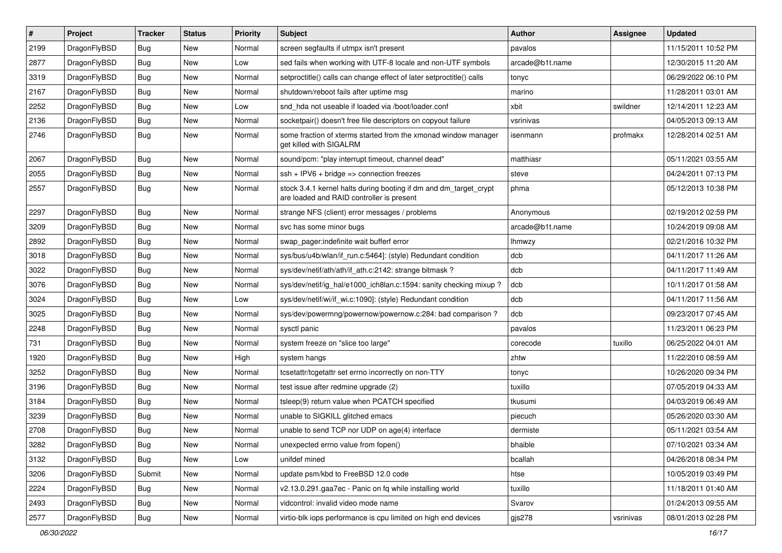| $\vert$ # | Project      | <b>Tracker</b> | <b>Status</b> | <b>Priority</b> | <b>Subject</b>                                                                                                 | <b>Author</b>   | Assignee  | <b>Updated</b>      |
|-----------|--------------|----------------|---------------|-----------------|----------------------------------------------------------------------------------------------------------------|-----------------|-----------|---------------------|
| 2199      | DragonFlyBSD | Bug            | <b>New</b>    | Normal          | screen segfaults if utmpx isn't present                                                                        | pavalos         |           | 11/15/2011 10:52 PM |
| 2877      | DragonFlyBSD | <b>Bug</b>     | <b>New</b>    | Low             | sed fails when working with UTF-8 locale and non-UTF symbols                                                   | arcade@b1t.name |           | 12/30/2015 11:20 AM |
| 3319      | DragonFlyBSD | Bug            | <b>New</b>    | Normal          | setproctitle() calls can change effect of later setproctitle() calls                                           | tonyc           |           | 06/29/2022 06:10 PM |
| 2167      | DragonFlyBSD | Bug            | <b>New</b>    | Normal          | shutdown/reboot fails after uptime msg                                                                         | marino          |           | 11/28/2011 03:01 AM |
| 2252      | DragonFlyBSD | <b>Bug</b>     | <b>New</b>    | Low             | snd hda not useable if loaded via /boot/loader.conf                                                            | xbit            | swildner  | 12/14/2011 12:23 AM |
| 2136      | DragonFlyBSD | <b>Bug</b>     | <b>New</b>    | Normal          | socketpair() doesn't free file descriptors on copyout failure                                                  | vsrinivas       |           | 04/05/2013 09:13 AM |
| 2746      | DragonFlyBSD | Bug            | <b>New</b>    | Normal          | some fraction of xterms started from the xmonad window manager<br>get killed with SIGALRM                      | isenmann        | profmakx  | 12/28/2014 02:51 AM |
| 2067      | DragonFlyBSD | <b>Bug</b>     | <b>New</b>    | Normal          | sound/pcm: "play interrupt timeout, channel dead"                                                              | matthiasr       |           | 05/11/2021 03:55 AM |
| 2055      | DragonFlyBSD | <b>Bug</b>     | <b>New</b>    | Normal          | $ssh + IPV6 + bridge \Rightarrow connection freezes$                                                           | steve           |           | 04/24/2011 07:13 PM |
| 2557      | DragonFlyBSD | Bug            | <b>New</b>    | Normal          | stock 3.4.1 kernel halts during booting if dm and dm_target_crypt<br>are loaded and RAID controller is present | phma            |           | 05/12/2013 10:38 PM |
| 2297      | DragonFlyBSD | <b>Bug</b>     | <b>New</b>    | Normal          | strange NFS (client) error messages / problems                                                                 | Anonymous       |           | 02/19/2012 02:59 PM |
| 3209      | DragonFlyBSD | <b>Bug</b>     | <b>New</b>    | Normal          | svc has some minor bugs                                                                                        | arcade@b1t.name |           | 10/24/2019 09:08 AM |
| 2892      | DragonFlyBSD | Bug            | <b>New</b>    | Normal          | swap_pager:indefinite wait bufferf error                                                                       | Ihmwzy          |           | 02/21/2016 10:32 PM |
| 3018      | DragonFlyBSD | Bug            | <b>New</b>    | Normal          | sys/bus/u4b/wlan/if run.c:5464]: (style) Redundant condition                                                   | dcb             |           | 04/11/2017 11:26 AM |
| 3022      | DragonFlyBSD | Bug            | <b>New</b>    | Normal          | sys/dev/netif/ath/ath/if_ath.c:2142: strange bitmask?                                                          | dcb             |           | 04/11/2017 11:49 AM |
| 3076      | DragonFlyBSD | <b>Bug</b>     | <b>New</b>    | Normal          | sys/dev/netif/ig hal/e1000 ich8lan.c:1594: sanity checking mixup?                                              | dcb             |           | 10/11/2017 01:58 AM |
| 3024      | DragonFlyBSD | <b>Bug</b>     | New           | Low             | sys/dev/netif/wi/if_wi.c:1090]: (style) Redundant condition                                                    | dcb             |           | 04/11/2017 11:56 AM |
| 3025      | DragonFlyBSD | Bug            | <b>New</b>    | Normal          | sys/dev/powermng/powernow/powernow.c:284: bad comparison?                                                      | dcb             |           | 09/23/2017 07:45 AM |
| 2248      | DragonFlyBSD | <b>Bug</b>     | <b>New</b>    | Normal          | sysctl panic                                                                                                   | pavalos         |           | 11/23/2011 06:23 PM |
| 731       | DragonFlyBSD | <b>Bug</b>     | <b>New</b>    | Normal          | system freeze on "slice too large"                                                                             | corecode        | tuxillo   | 06/25/2022 04:01 AM |
| 1920      | DragonFlyBSD | <b>Bug</b>     | <b>New</b>    | High            | system hangs                                                                                                   | zhtw            |           | 11/22/2010 08:59 AM |
| 3252      | DragonFlyBSD | Bug            | <b>New</b>    | Normal          | tcsetattr/tcgetattr set errno incorrectly on non-TTY                                                           | tonyc           |           | 10/26/2020 09:34 PM |
| 3196      | DragonFlyBSD | Bug            | <b>New</b>    | Normal          | test issue after redmine upgrade (2)                                                                           | tuxillo         |           | 07/05/2019 04:33 AM |
| 3184      | DragonFlyBSD | <b>Bug</b>     | <b>New</b>    | Normal          | tsleep(9) return value when PCATCH specified                                                                   | tkusumi         |           | 04/03/2019 06:49 AM |
| 3239      | DragonFlyBSD | <b>Bug</b>     | <b>New</b>    | Normal          | unable to SIGKILL glitched emacs                                                                               | piecuch         |           | 05/26/2020 03:30 AM |
| 2708      | DragonFlyBSD | <b>Bug</b>     | <b>New</b>    | Normal          | unable to send TCP nor UDP on age(4) interface                                                                 | dermiste        |           | 05/11/2021 03:54 AM |
| 3282      | DragonFlyBSD | <b>Bug</b>     | New           | Normal          | unexpected errno value from fopen()                                                                            | bhaible         |           | 07/10/2021 03:34 AM |
| 3132      | DragonFlyBSD | Bug            | New           | Low             | unifdef mined                                                                                                  | bcallah         |           | 04/26/2018 08:34 PM |
| 3206      | DragonFlyBSD | Submit         | New           | Normal          | update psm/kbd to FreeBSD 12.0 code                                                                            | htse            |           | 10/05/2019 03:49 PM |
| 2224      | DragonFlyBSD | <b>Bug</b>     | New           | Normal          | v2.13.0.291.gaa7ec - Panic on fg while installing world                                                        | tuxillo         |           | 11/18/2011 01:40 AM |
| 2493      | DragonFlyBSD | <b>Bug</b>     | New           | Normal          | vidcontrol: invalid video mode name                                                                            | Svarov          |           | 01/24/2013 09:55 AM |
| 2577      | DragonFlyBSD | <b>Bug</b>     | New           | Normal          | virtio-blk iops performance is cpu limited on high end devices                                                 | gjs278          | vsrinivas | 08/01/2013 02:28 PM |